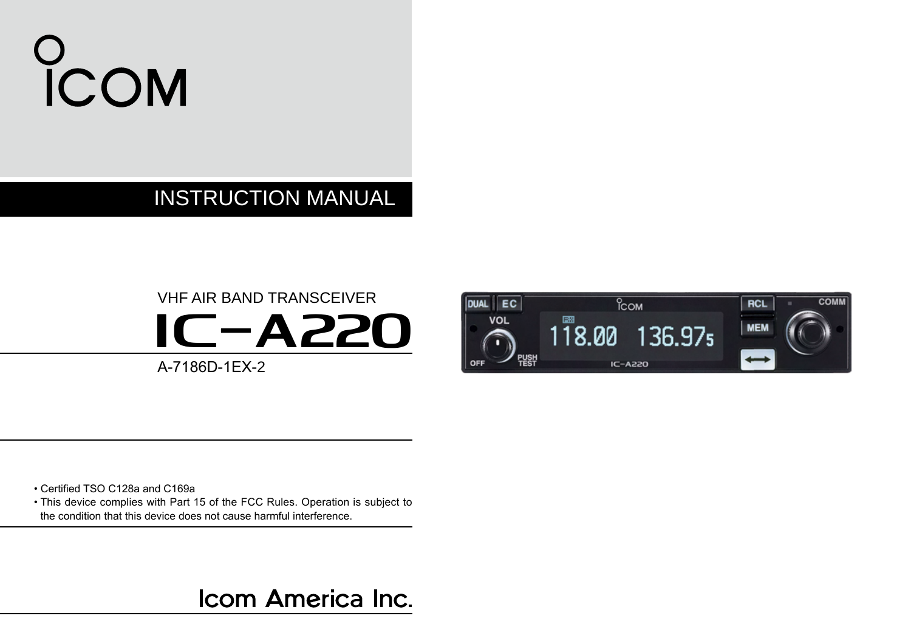# COM

### INSTRUCTION MANUAL

### VHF AIR BAND TRANSCEIVER **IC-A220** A-7186D-1EX-2



• Certified TSO C128a and C169a

• This device complies with Part 15 of the FCC Rules. Operation is subject to the condition that this device does not cause harmful interference.

Icom America Inc.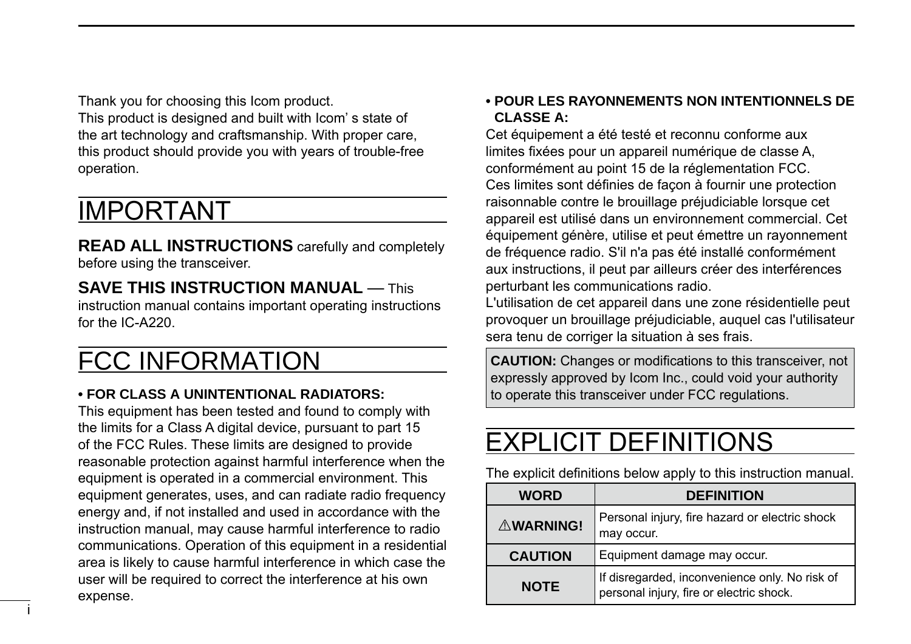<span id="page-1-0"></span>Thank you for choosing this Icom product. This product is designed and built with Icom' s state of the art technology and craftsmanship. With proper care, this product should provide you with years of trouble-free

### IMPORTANT

operation.

i

**READ ALL INSTRUCTIONS** carefully and completely before using the transceiver.

**SAVE THIS INSTRUCTION MANUAL — This** instruction manual contains important operating instructions for the IC-A220.

### FCC INFORMATION

#### **• FOR CLASS A UNINTENTIONAL RADIATORS:**

This equipment has been tested and found to comply with the limits for a Class A digital device, pursuant to part 15 of the FCC Rules. These limits are designed to provide reasonable protection against harmful interference when the equipment is operated in a commercial environment. This equipment generates, uses, and can radiate radio frequency energy and, if not installed and used in accordance with the instruction manual, may cause harmful interference to radio communications. Operation of this equipment in a residential area is likely to cause harmful interference in which case the user will be required to correct the interference at his own expense.

#### **• POUR LES RAYONNEMENTS NON INTENTIONNELS DE CLASSE A:**

Cet équipement a été testé et reconnu conforme aux limites fixées pour un appareil numérique de classe A, conformément au point 15 de la réglementation FCC. Ces limites sont définies de façon à fournir une protection raisonnable contre le brouillage préjudiciable lorsque cet appareil est utilisé dans un environnement commercial. Cet équipement génère, utilise et peut émettre un rayonnement de fréquence radio. S'il n'a pas été installé conformément aux instructions, il peut par ailleurs créer des interférences perturbant les communications radio.

L'utilisation de cet appareil dans une zone résidentielle peut provoquer un brouillage préjudiciable, auquel cas l'utilisateur sera tenu de corriger la situation à ses frais.

**CAUTION:** Changes or modifications to this transceiver, not expressly approved by Icom Inc., could void your authority to operate this transceiver under FCC regulations.

### EXPLICIT DEFINITIONS

The explicit definitions below apply to this instruction manual.

| WORD             | <b>DEFINITION</b>                                                                          |  |
|------------------|--------------------------------------------------------------------------------------------|--|
| <b>AWARNING!</b> | Personal injury, fire hazard or electric shock<br>may occur.                               |  |
| <b>CAUTION</b>   | Equipment damage may occur.                                                                |  |
| <b>NOTE</b>      | If disregarded, inconvenience only. No risk of<br>personal injury, fire or electric shock. |  |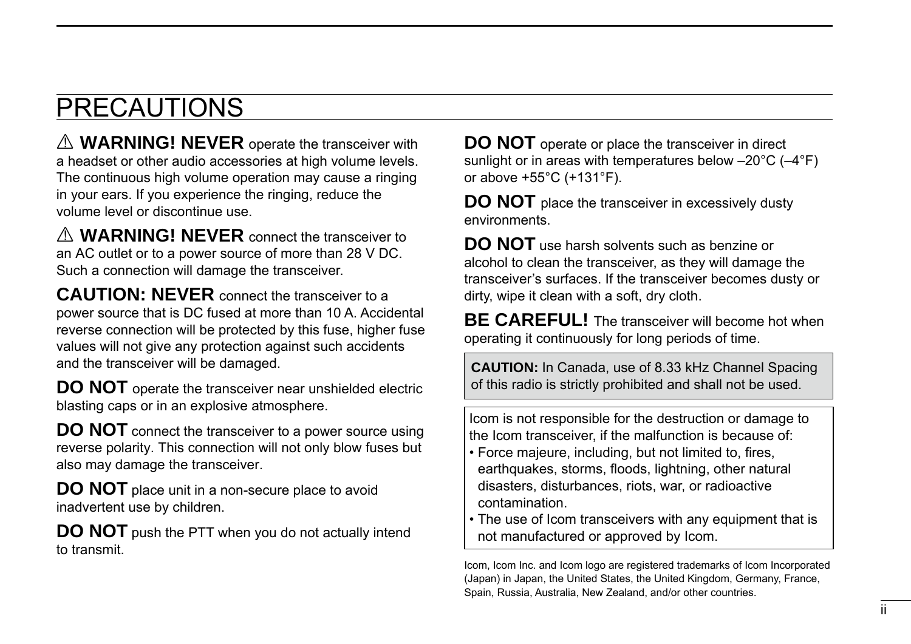### <span id="page-2-0"></span>PRECAUTIONS

A **WARNING! NEVER** operate the transceiver with a headset or other audio accessories at high volume levels. The continuous high volume operation may cause a ringing in your ears. If you experience the ringing, reduce the volume level or discontinue use.

R **WARNING! NEVER** connect the transceiver to an AC outlet or to a power source of more than 28 V DC. Such a connection will damage the transceiver.

**CAUTION: NEVER** connect the transceiver to a power source that is DC fused at more than 10 A. Accidental reverse connection will be protected by this fuse, higher fuse values will not give any protection against such accidents and the transceiver will be damaged.

**DO NOT** operate the transceiver near unshielded electric blasting caps or in an explosive atmosphere.

**DO NOT** connect the transceiver to a power source using reverse polarity. This connection will not only blow fuses but also may damage the transceiver.

**DO NOT** place unit in a non-secure place to avoid inadvertent use by children.

**DO NOT** push the PTT when you do not actually intend to transmit.

**DO NOT** operate or place the transceiver in direct sunlight or in areas with temperatures below –20°C (–4°F) or above +55°C (+131°F).

**DO NOT** place the transceiver in excessively dusty environments.

**DO NOT** use harsh solvents such as benzine or alcohol to clean the transceiver, as they will damage the transceiver's surfaces. If the transceiver becomes dusty or dirty, wipe it clean with a soft, dry cloth.

**BE CAREFUL!** The transceiver will become hot when operating it continuously for long periods of time.

**CAUTION:** In Canada, use of 8.33 kHz Channel Spacing of this radio is strictly prohibited and shall not be used.

Icom is not responsible for the destruction or damage to the Icom transceiver, if the malfunction is because of:

- Force majeure, including, but not limited to, fires, earthquakes, storms, floods, lightning, other natural disasters, disturbances, riots, war, or radioactive contamination.
- The use of Icom transceivers with any equipment that is not manufactured or approved by Icom.

Icom, Icom Inc. and Icom logo are registered trademarks of Icom Incorporated (Japan) in Japan, the United States, the United Kingdom, Germany, France, Spain, Russia, Australia, New Zealand, and/or other countries.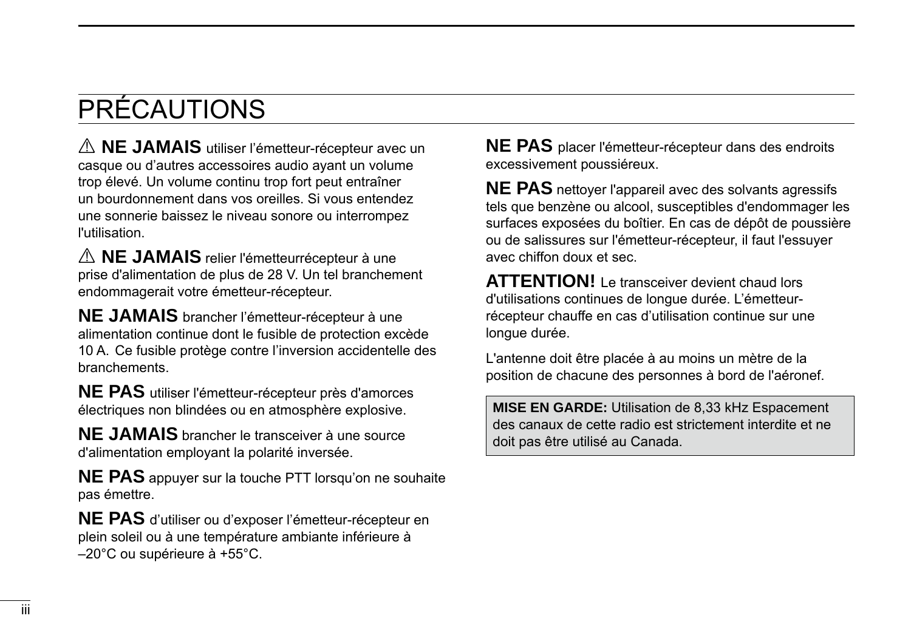### PRÉCAUTIONS

A **NE JAMAIS** utiliser l'émetteur-récepteur avec un casque ou d'autres accessoires audio ayant un volume trop élevé. Un volume continu trop fort peut entraîner un bourdonnement dans vos oreilles. Si vous entendez une sonnerie baissez le niveau sonore ou interrompez l'utilisation.

R **NE JAMAIS** relier l'émetteurrécepteur à une prise d'alimentation de plus de 28 V. Un tel branchement endommagerait votre émetteur-récepteur.

**NE JAMAIS** brancher l'émetteur-récepteur à une alimentation continue dont le fusible de protection excède 10 A. Ce fusible protège contre l'inversion accidentelle des branchements.

**NE PAS** utiliser l'émetteur-récepteur près d'amorces électriques non blindées ou en atmosphère explosive.

**NE JAMAIS** brancher le transceiver à une source d'alimentation employant la polarité inversée.

**NE PAS** appuyer sur la touche PTT lorsqu'on ne souhaite pas émettre.

**NE PAS** d'utiliser ou d'exposer l'émetteur-récepteur en plein soleil ou à une température ambiante inférieure à –20°C ou supérieure à +55°C.

**NE PAS** placer l'émetteur-récepteur dans des endroits excessivement poussiéreux.

**NE PAS** nettoyer l'appareil avec des solvants agressifs tels que benzène ou alcool, susceptibles d'endommager les surfaces exposées du boîtier. En cas de dépôt de poussière ou de salissures sur l'émetteur-récepteur, il faut l'essuyer avec chiffon doux et sec.

**ATTENTION!** Le transceiver devient chaud lors d'utilisations continues de longue durée. L'émetteurrécepteur chauffe en cas d'utilisation continue sur une longue durée.

L'antenne doit être placée à au moins un mètre de la position de chacune des personnes à bord de l'aéronef.

**MISE EN GARDE:** Utilisation de 8,33 kHz Espacement des canaux de cette radio est strictement interdite et ne doit pas être utilisé au Canada.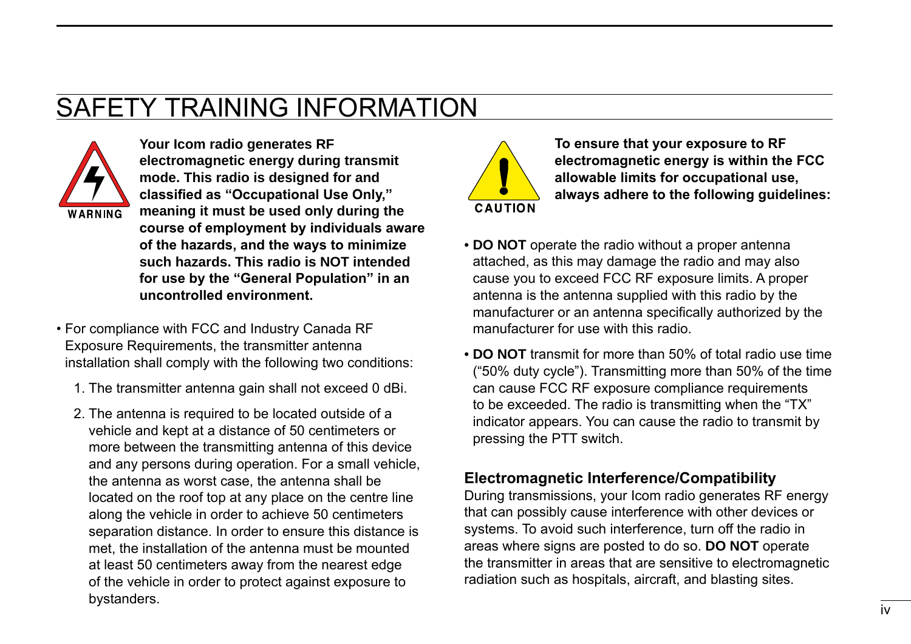### <span id="page-4-0"></span>SAFETY TRAINING INFORMATION



**Your Icom radio generates RF electromagnetic energy during transmit mode. This radio is designed for and classified as "Occupational Use Only," meaning it must be used only during the course of employment by individuals aware of the hazards, and the ways to minimize such hazards. This radio is NOT intended for use by the "General Population" in an uncontrolled environment.**

- For compliance with FCC and Industry Canada RF Exposure Requirements, the transmitter antenna installation shall comply with the following two conditions:
	- 1. The transmitter antenna gain shall not exceed 0 dBi.
	- 2. The antenna is required to be located outside of a vehicle and kept at a distance of 50 centimeters or more between the transmitting antenna of this device and any persons during operation. For a small vehicle, the antenna as worst case, the antenna shall be located on the roof top at any place on the centre line along the vehicle in order to achieve 50 centimeters separation distance. In order to ensure this distance is met, the installation of the antenna must be mounted at least 50 centimeters away from the nearest edge of the vehicle in order to protect against exposure to bystanders.



**To ensure that your exposure to RF electromagnetic energy is within the FCC allowable limits for occupational use, always adhere to the following guidelines:**

- **DO NOT** operate the radio without a proper antenna attached, as this may damage the radio and may also cause you to exceed FCC RF exposure limits. A proper antenna is the antenna supplied with this radio by the manufacturer or an antenna specifically authorized by the manufacturer for use with this radio.
- **DO NOT** transmit for more than 50% of total radio use time ("50% duty cycle"). Transmitting more than 50% of the time can cause FCC RF exposure compliance requirements to be exceeded. The radio is transmitting when the "TX" indicator appears. You can cause the radio to transmit by pressing the PTT switch.

#### **Electromagnetic Interference/Compatibility**

During transmissions, your Icom radio generates RF energy that can possibly cause interference with other devices or systems. To avoid such interference, turn off the radio in areas where signs are posted to do so. **DO NOT** operate the transmitter in areas that are sensitive to electromagnetic radiation such as hospitals, aircraft, and blasting sites.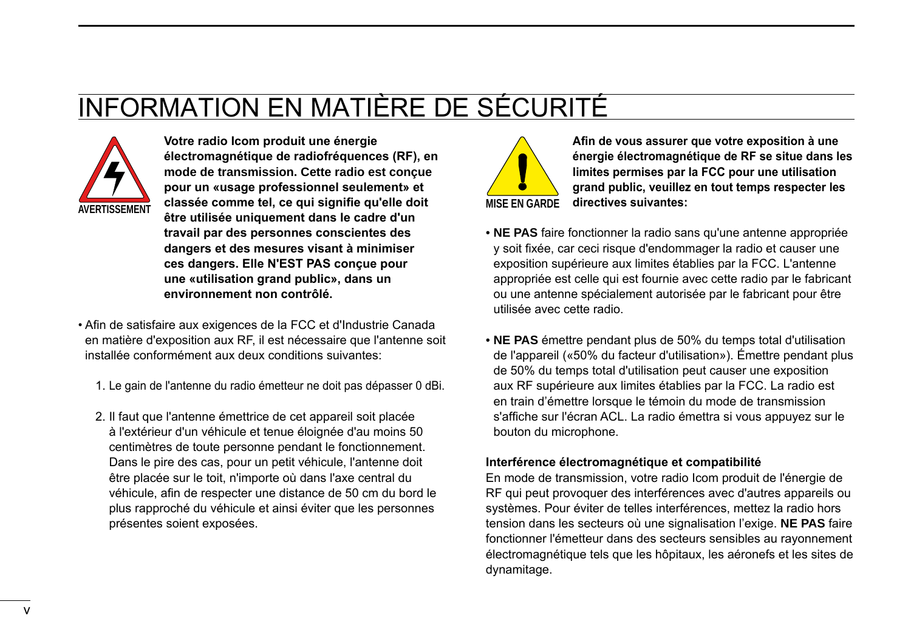### <span id="page-5-0"></span>INFORMATION EN MATIÈRE DE SÉCURITÉ



**Votre radio Icom produit une énergie électromagnétique de radiofréquences (RF), en mode de transmission. Cette radio est conçue pour un «usage professionnel seulement» et classée comme tel, ce qui signifie qu'elle doit** MISE EN GARDE **être utilisée uniquement dans le cadre d'un travail par des personnes conscientes des dangers et des mesures visant à minimiser ces dangers. Elle N'EST PAS conçue pour une «utilisation grand public», dans un environnement non contrôlé.**

- Afin de satisfaire aux exigences de la FCC et d'Industrie Canada en matière d'exposition aux RF, il est nécessaire que l'antenne soit installée conformément aux deux conditions suivantes:
	- 1. Le gain de l'antenne du radio émetteur ne doit pas dépasser 0 dBi.
	- 2. Il faut que l'antenne émettrice de cet appareil soit placée à l'extérieur d'un véhicule et tenue éloignée d'au moins 50 centimètres de toute personne pendant le fonctionnement. Dans le pire des cas, pour un petit véhicule, l'antenne doit être placée sur le toit, n'importe où dans l'axe central du véhicule, afin de respecter une distance de 50 cm du bord le plus rapproché du véhicule et ainsi éviter que les personnes présentes soient exposées.



**Afin de vous assurer que votre exposition à une énergie électromagnétique de RF se situe dans les limites permises par la FCC pour une utilisation grand public, veuillez en tout temps respecter les directives suivantes:**

- **NE PAS** faire fonctionner la radio sans qu'une antenne appropriée y soit fixée, car ceci risque d'endommager la radio et causer une exposition supérieure aux limites établies par la FCC. L'antenne appropriée est celle qui est fournie avec cette radio par le fabricant ou une antenne spécialement autorisée par le fabricant pour être utilisée avec cette radio.
- **NE PAS** émettre pendant plus de 50% du temps total d'utilisation de l'appareil («50% du facteur d'utilisation»). Émettre pendant plus de 50% du temps total d'utilisation peut causer une exposition aux RF supérieure aux limites établies par la FCC. La radio est en train d'émettre lorsque le témoin du mode de transmission s'affiche sur l'écran ACL. La radio émettra si vous appuyez sur le bouton du microphone.

#### **Interférence électromagnétique et compatibilité**

En mode de transmission, votre radio Icom produit de l'énergie de RF qui peut provoquer des interférences avec d'autres appareils ou systèmes. Pour éviter de telles interférences, mettez la radio hors tension dans les secteurs où une signalisation l'exige. **NE PAS** faire fonctionner l'émetteur dans des secteurs sensibles au rayonnement électromagnétique tels que les hôpitaux, les aéronefs et les sites de dynamitage.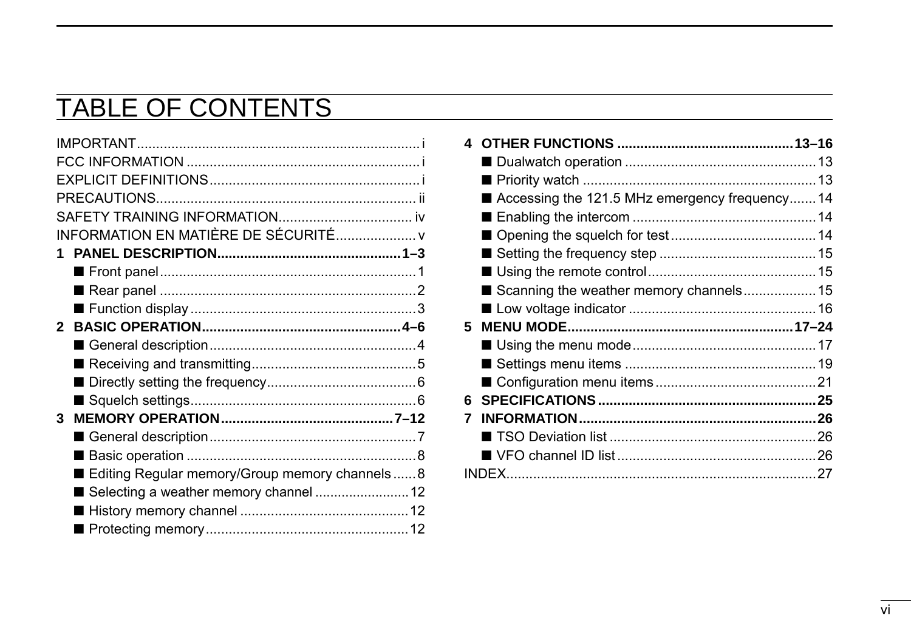### **TABLE OF CONTENTS**

| INFORMATION EN MATIÈRE DE SÉCURITÉ v              |  |
|---------------------------------------------------|--|
|                                                   |  |
|                                                   |  |
|                                                   |  |
|                                                   |  |
|                                                   |  |
|                                                   |  |
|                                                   |  |
|                                                   |  |
|                                                   |  |
| 3                                                 |  |
|                                                   |  |
|                                                   |  |
| ■ Editing Regular memory/Group memory channels  8 |  |
|                                                   |  |
|                                                   |  |
|                                                   |  |

| 4  |                                                  |  |
|----|--------------------------------------------------|--|
|    |                                                  |  |
|    |                                                  |  |
|    | ■ Accessing the 121.5 MHz emergency frequency 14 |  |
|    |                                                  |  |
|    |                                                  |  |
|    |                                                  |  |
|    |                                                  |  |
|    | Scanning the weather memory channels 15          |  |
|    |                                                  |  |
| 5  |                                                  |  |
|    |                                                  |  |
|    |                                                  |  |
|    |                                                  |  |
| 6. |                                                  |  |
| 7  |                                                  |  |
|    |                                                  |  |
|    |                                                  |  |
|    |                                                  |  |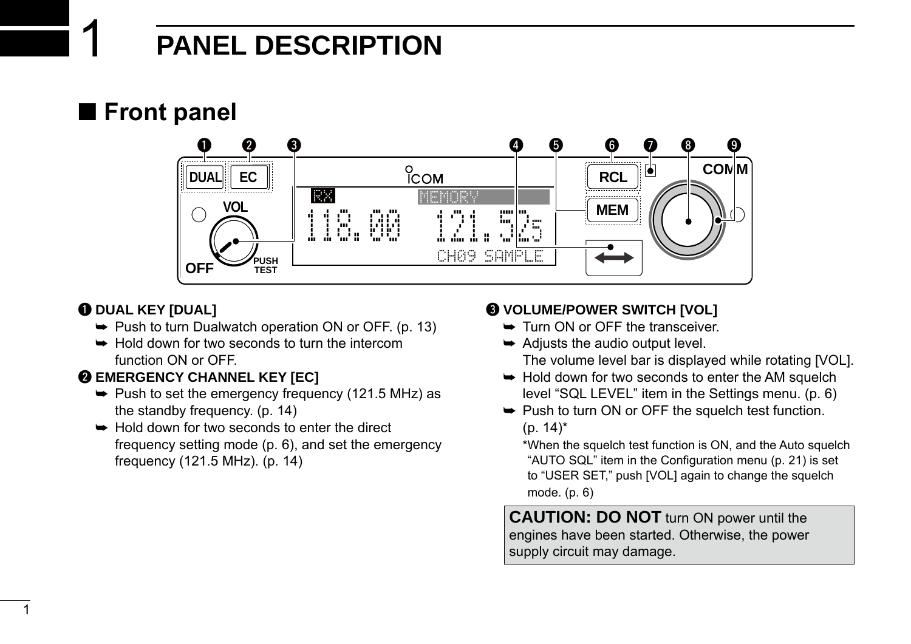### 1 **PANEL DESCRIPTION**

### <span id="page-7-0"></span>■ **Front panel**



### q **DUAL KEY [DUAL]**

- $\rightarrow$  Push to turn Dualwatch operation ON or OFF. (p. 13)
- $\rightarrow$  Hold down for two seconds to turn the intercom function ON or OFF.

### **@ EMERGENCY CHANNEL KEY [EC]**

- $\rightarrow$  Push to set the emergency frequency (121.5 MHz) as the standby frequency. (p. 14)
- $\rightarrow$  Hold down for two seconds to enter the direct frequency setting mode (p. 6), and set the emergency frequency (121.5 MHz). (p. 14)

### **@ VOLUME/POWER SWITCH [VOL]**

- **► Turn ON or OFF the transceiver.**
- $\rightarrow$  Adjusts the audio output level. The volume level bar is displayed while rotating [VOL].
- $\rightarrow$  Hold down for two seconds to enter the AM squelch level "SQL LEVEL" item in the Settings menu. (p. 6)
- $\rightarrow$  Push to turn ON or OFF the squelch test function.  $(p. 14)^*$

\*When the squelch test function is ON, and the Auto squelch "AUTO SQL" item in the Configuration menu (p. 21) is set to "USER SET," push [VOL] again to change the squelch mode. (p. 6)

**CAUTION: DO NOT** turn ON power until the engines have been started. Otherwise, the power supply circuit may damage.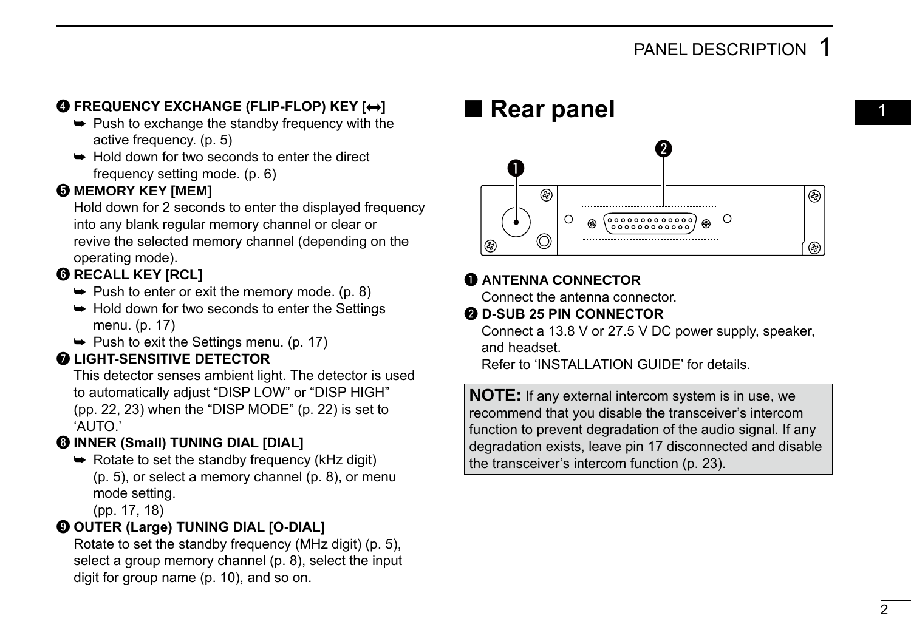### <span id="page-8-0"></span>**@ FREQUENCY EXCHANGE (FLIP-FLOP) KEY [** $\leftrightarrow$ **]**

- $\rightarrow$  Push to exchange the standby frequency with the active frequency. (p. 5)
- **► Hold down for two seconds to enter the direct** frequency setting mode. (p. 6)

### $\Theta$  **MEMORY KEY [MEM]**

Hold down for 2 seconds to enter the displayed frequency into any blank regular memory channel or clear or revive the selected memory channel (depending on the operating mode).

### **@ RECALL KEY [RCL]**

- $\rightarrow$  Push to enter or exit the memory mode. (p. 8)
- $\rightarrow$  Hold down for two seconds to enter the Settings menu. (p. 17)
	- $\rightarrow$  Push to exit the Settings menu. (p. 17)

### **Q** LIGHT-SENSITIVE DETECTOR

This detector senses ambient light. The detector is used to automatically adjust "DISP LOW" or "DISP HIGH" (pp. 22, 23) when the "DISP MODE" (p. 22) is set to 'AUTO.'

### **@ INNER (Small) TUNING DIAL [DIAL]**

 $\rightarrow$  Rotate to set the standby frequency (kHz digit) (p. 5), or select a memory channel (p. 8), or menu mode setting.

(pp. 17, 18)

### o **OUTER (Large) TUNING DIAL [O-DIAL]**

Rotate to set the standby frequency (MHz digit) (p. 5), select a group memory channel (p. 8), select the input digit for group name (p. 10), and so on.

### ■ **Rear panel**



### q **ANTENNA CONNECTOR**

Connect the antenna connector.

#### **@ D-SUB 25 PIN CONNECTOR**

Connect a 13.8 V or 27.5 V DC power supply, speaker, and headset.

Refer to 'INSTALLATION GUIDE' for details.

**NOTE:** If any external intercom system is in use, we recommend that you disable the transceiver's intercom function to prevent degradation of the audio signal. If any degradation exists, leave pin 17 disconnected and disable the transceiver's intercom function (p. 23).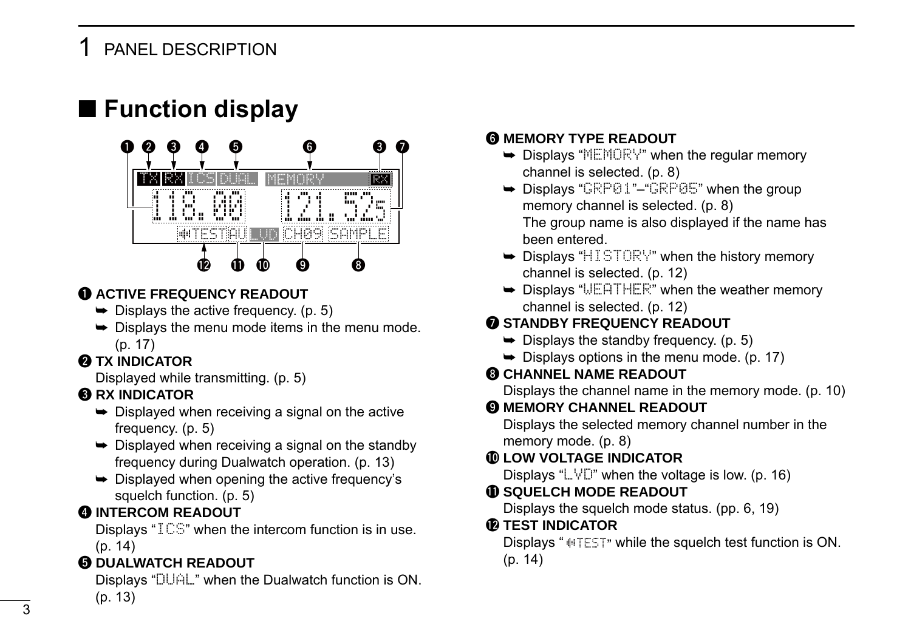### <span id="page-9-0"></span>PANEL DESCRIPTION

### ■ Function display



### $\bigcirc$  **ACTIVE FREQUENCY READOUT**

- $\rightarrow$  Displays the active frequency. (p. 5)
- $\rightarrow$  Displays the menu mode items in the menu mode. (p. 17)

### **Q TX INDICATOR**

Displayed while transmitting. (p. 5)

### **RX INDICATOR**

- $\rightarrow$  Displayed when receiving a signal on the active frequency. (p. 5)
- $\rightarrow$  Displayed when receiving a signal on the standby frequency during Dualwatch operation. (p. 13)
- $\rightarrow$  Displayed when opening the active frequency's squelch function. (p. 5)

### **4** INTERCOM READOUT

Displays "ICS" when the intercom function is in use. (p. 14)

### **6 DUALWATCH READOUT**

Displays "DUAL" when the Dualwatch function is ON. (p. 13)

#### **G MEMORY TYPE READOUT**

- $\rightarrow$  Displays "MEMORY" when the regular memory channel is selected. (p. 8)
- $\rightarrow$  Displays "GRP01"–"GRP05" when the group memory channel is selected. (p. 8) The group name is also displayed if the name has been entered.
- $\rightarrow$  Displays "HISTORY" when the history memory channel is selected. (p. 12)
- **► Displays "WEATHER"** when the weather memory channel is selected. (p. 12)

### **@ STANDBY FREQUENCY READOUT**

- $\rightarrow$  Displays the standby frequency. (p. 5)
- $\rightarrow$  Displays options in the menu mode. (p. 17)

### **63 CHANNEL NAME READOUT**

Displays the channel name in the memory mode. (p. 10)

### $Q$  **MEMORY CHANNEL READOUT**

Displays the selected memory channel number in the memory mode. (p. 8)

### !0**LOW VOLTAGE INDICATOR**

Displays " $\Box$ " when the voltage is low. (p. 16)

#### **10 SQUELCH MODE READOUT**

Displays the squelch mode status. (pp. 6, 19)

#### **@ TEST INDICATOR**

Displays " $\parallel$ TEST" while the squelch test function is ON. (p. 14)

3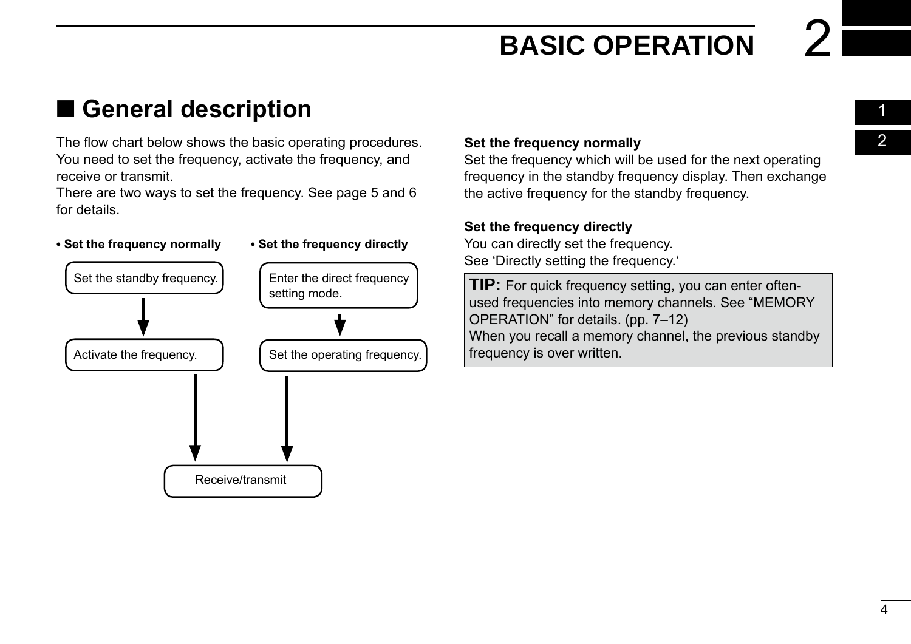01 02

### <span id="page-10-0"></span>■ General description

The flow chart below shows the basic operating procedures. You need to set the frequency, activate the frequency, and receive or transmit.

There are two ways to set the frequency. See page 5 and 6 for details.

#### **• Set the frequency normally • Set the frequency directly**



#### **Set the frequency normally**

Set the frequency which will be used for the next operating frequency in the standby frequency display. Then exchange the active frequency for the standby frequency.

#### **Set the frequency directly**

You can directly set the frequency. See 'Directly setting the frequency.'

**TIP:** For quick frequency setting, you can enter oftenused frequencies into memory channels. See "MEMORY OPERATION" for details. (pp. 7–12) When you recall a memory channel, the previous standby frequency is over written.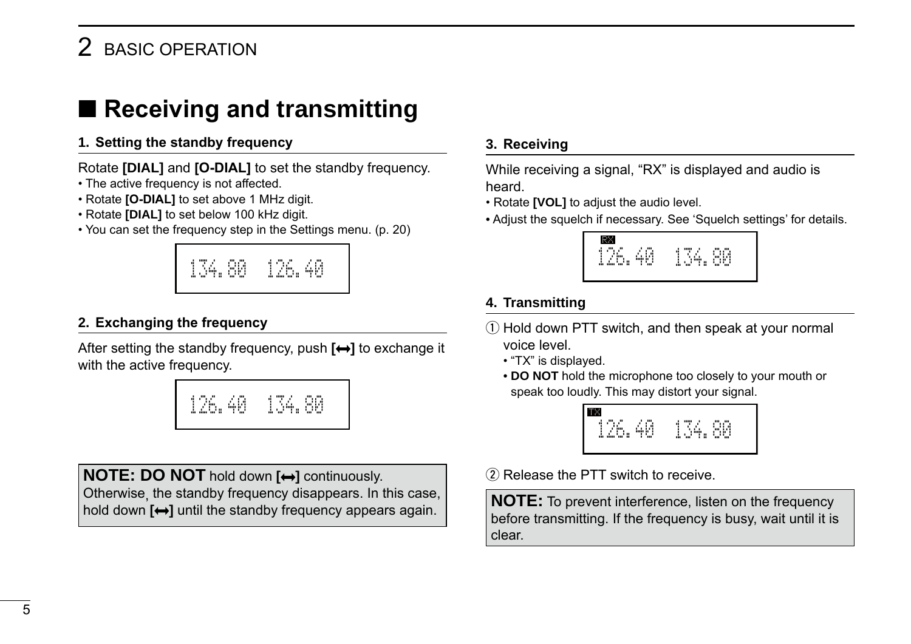### <span id="page-11-0"></span>2 BASIC OPERATION

### ■ **Receiving and transmitting**

#### **1. Setting the standby frequency**

Rotate **[DIAL]** and **[O-DIAL]** to set the standby frequency.

- The active frequency is not affected.
- Rotate **[O-DIAL]** to set above 1 MHz digit.
- Rotate **[DIAL]** to set below 100 kHz digit.
- You can set the frequency step in the Settings menu. (p. 20)



#### **2. Exchanging the frequency**

After setting the standby frequency, push  $[\leftrightarrow]$  to exchange it with the active frequency.



**NOTE: DO NOT** hold down  $[\leftrightarrow]$  continuously. Otherwise, the standby frequency disappears. In this case, hold down  $[\leftrightarrow]$  until the standby frequency appears again.

#### **3. Receiving**

While receiving a signal, "RX" is displayed and audio is heard.

- Rotate **[VOL]** to adjust the audio level.
- Adjust the squelch if necessary. See 'Squelch settings' for details.



### **4. Transmitting**

- $\Omega$  Hold down PTT switch, and then speak at your normal voice level.
	- "TX" is displayed.
	- **DO NOT** hold the microphone too closely to your mouth or speak too loudly. This may distort your signal.



 $(2)$  Release the PTT switch to receive.

**NOTE:** To prevent interference, listen on the frequency before transmitting. If the frequency is busy, wait until it is clear.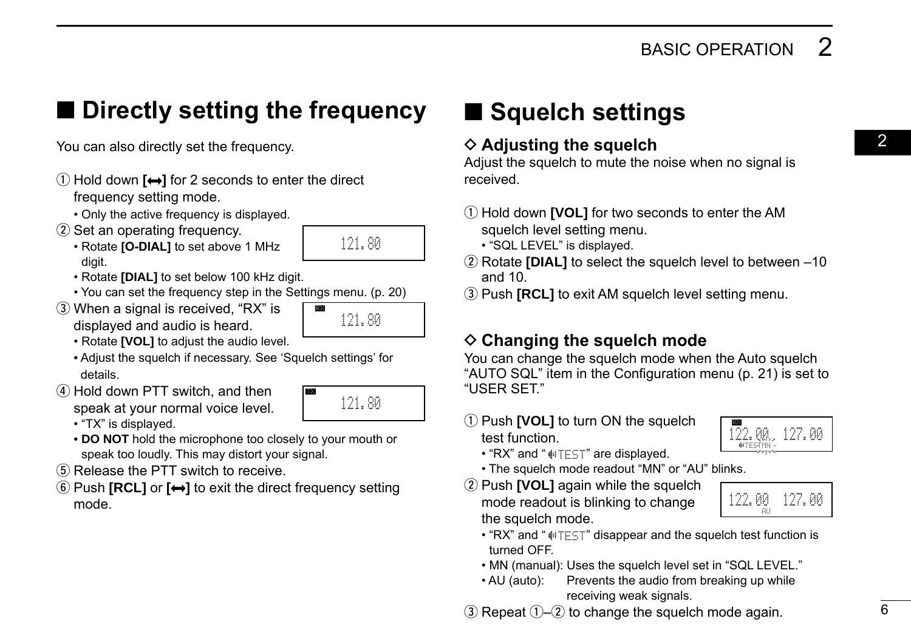### <span id="page-12-0"></span>■ **Directly setting the frequency** ■ **Squelch settings**

- $\Omega$  Hold down  $\left[\rightarrow\right]$  for 2 seconds to enter the direct frequency setting mode.
	- Only the active frequency is displayed.
- (2) Set an operating frequency.
	- Rotate **[O-DIAL]** to set above 1 MHz digit.
	- Rotate **[DIAL]** to set below 100 kHz digit.
	- You can set the frequency step in the Settings menu. (p. 20)
- 3) When a signal is received. "RX" is displayed and audio is heard.



121.80

TX

121.80

- Rotate **[VOL]** to adjust the audio level.
- Adjust the squelch if necessary. See 'Squelch settings' for details.
- $\sigma$  Hold down PTT switch, and then speak at your normal voice level. • "TX" is displayed.
	- **DO NOT** hold the microphone too closely to your mouth or speak too loudly. This may distort your signal.
- (5) Release the PTT switch to receive.
- **<u>**€ Push **[RCL]** or **[↔]** to exit the direct frequency setting</u> mode.

#### You can also directly set the frequency.  $\Diamond$  Adjusting the squelch  $\Diamond$  $\diamond$  Adjusting the squelch

Adjust the squelch to mute the noise when no signal is received.

- (1) Hold down **[VOL]** for two seconds to enter the AM squelch level setting menu.
	- "SQL LEVEL" is displayed.
- 2 Rotate **[DIAL]** to select the squelch level to between -10 and 10.
- **3** Push **[RCL]** to exit AM squelch level setting menu.

### $\diamond$  Changing the squelch mode

You can change the squelch mode when the Auto squelch "AUTO SQL" item in the Configuration menu (p. 21) is set to "USER SET."

**1**) Push **[VOL]** to turn ON the squelch test function.



- $\cdot$  "RX" and " $\text{mTFT}$ " are displayed.
- The squelch mode readout "MN" or "AU" blinks.
- 2 Push **[VOL]** again while the squelch mode readout is blinking to change the squelch mode.



- "RX" and " $\psi$ TEST" disappear and the squelch test function is turned OFF.
- MN (manual): Uses the squelch level set in "SQL LEVEL."
- AU (auto): Prevents the audio from breaking up while receiving weak signals.

 $\alpha$  Repeat  $\alpha$ – $\alpha$  to change the squelch mode again.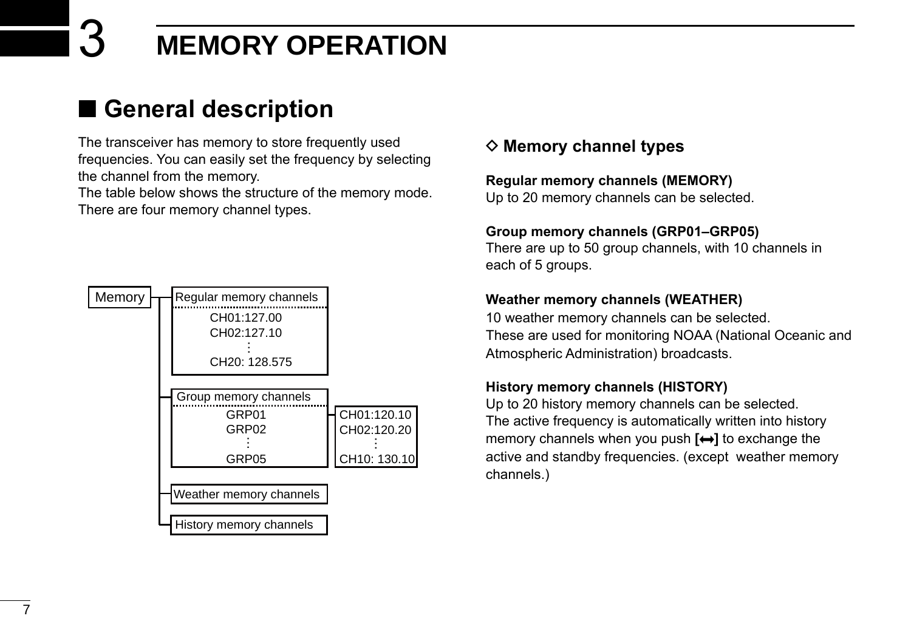### <span id="page-13-0"></span>■ General description

The transceiver has memory to store frequently used frequencies. You can easily set the frequency by selecting the channel from the memory.

The table below shows the structure of the memory mode. There are four memory channel types.



### **♦ Memory channel types**

#### **Regular memory channels (MEMORY)**

Up to 20 memory channels can be selected.

### **Group memory channels (GRP01–GRP05)**

There are up to 50 group channels, with 10 channels in each of 5 groups.

### **Weather memory channels (WEATHER)**

10 weather memory channels can be selected. These are used for monitoring NOAA (National Oceanic and Atmospheric Administration) broadcasts.

### **History memory channels (HISTORY)**

Up to 20 history memory channels can be selected. The active frequency is automatically written into history memory channels when you push **[ ]** to exchange the active and standby frequencies. (except weather memory channels.)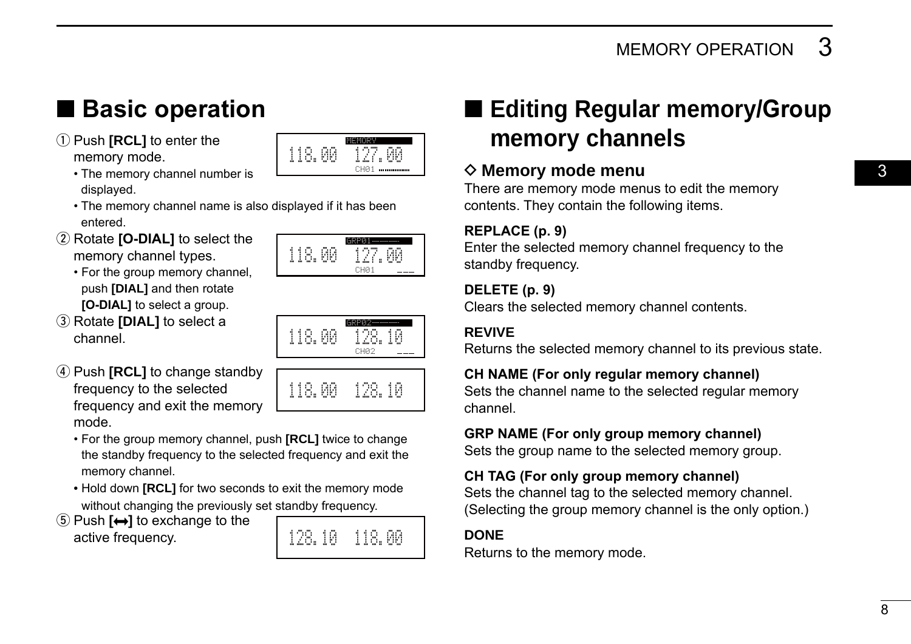q Push **[RCL]** to enter the memory mode.



- The memory channel number is displayed.
- The memory channel name is also displayed if it has been entered.
- 2 Rotate **[O-DIAL]** to select the memory channel types.
	- •  For the group memory channel, push **[DIAL]** and then rotate **[O-DIAL]** to select a group.
- **3** Rotate **[DIAL]** to select a channel.





118.00 128.105

- **4**) Push **[RCL]** to change standby frequency to the selected frequency and exit the memory mode.
	- •  For the group memory channel, push **[RCL]** twice to change the standby frequency to the selected frequency and exit the memory channel.
	- Hold down **[RCL]** for two seconds to exit the memory mode without changing the previously set standby frequency.
- **<u>5</u>** Push **[↔]** to exchange to the active frequency.



### <span id="page-14-0"></span>■ Basic operation ■ ■ Editing Regular memory/Group **memory channels**

### **◇ Memory mode menu**

There are memory mode menus to edit the memory contents. They contain the following items.

#### **REPLACE (p. 9)**

Enter the selected memory channel frequency to the standby frequency.

#### **DELETE (p. 9)**

Clears the selected memory channel contents.

### **REVIVE**

Returns the selected memory channel to its previous state.

#### **CH NAME (For only regular memory channel)**

Sets the channel name to the selected regular memory channel.

### **GRP NAME (For only group memory channel)**

Sets the group name to the selected memory group.

### **CH TAG (For only group memory channel)**

Sets the channel tag to the selected memory channel. (Selecting the group memory channel is the only option.)

### **DONE**

Returns to the memory mode.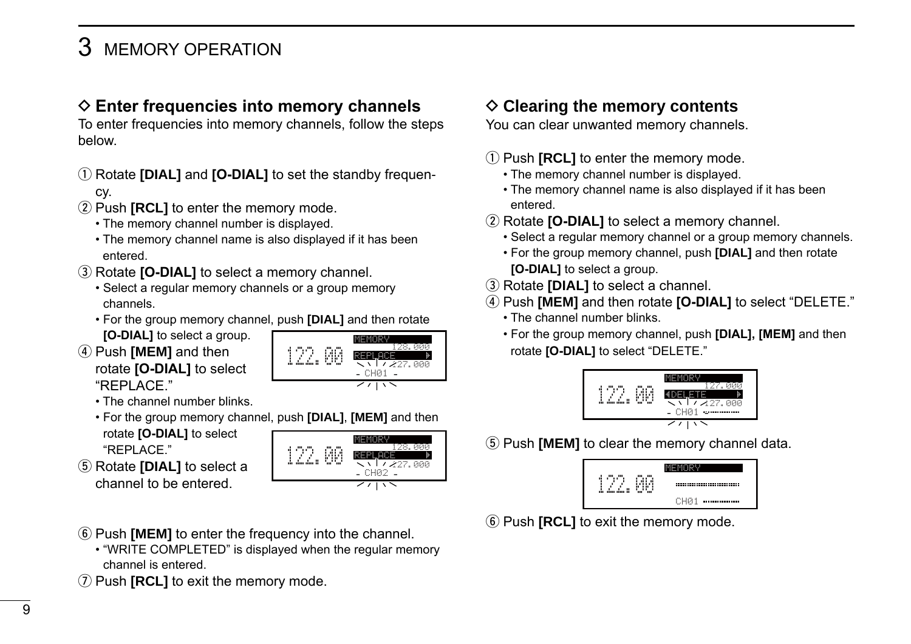### <span id="page-15-0"></span> $\diamond$  Enter frequencies into memory channels

To enter frequencies into memory channels, follow the steps below.

- (1) Rotate **[DIAL]** and **[O-DIAL]** to set the standby frequency.
- 2 Push **[RCL]** to enter the memory mode.
	- The memory channel number is displayed.
	- The memory channel name is also displayed if it has been entered.
- **3** Rotate **[O-DIAL]** to select a memory channel.
	- •  Select a regular memory channels or a group memory channels.
	- •  For the group memory channel, push **[DIAL]** and then rotate
	- **[O-DIAL]** to select a group.
- **4) Push <b>[MEM]** and then rotate **[O-DIAL]** to select "REPLACE."



- The channel number blinks.
- •  For the group memory channel, push **[DIAL]**, **[MEM]** and then rotate **[O-DIAL]** to select
- "REPLACE"
- **(5) Rotate [DIAL]** to select a channel to be entered.



- **(6) Push <b>[MEM]** to enter the frequency into the channel.
	- "WRITE COMPLETED" is displayed when the regular memory channel is entered.
- **1** Push **[RCL]** to exit the memory mode.

### **♦ Clearing the memory contents**

You can clear unwanted memory channels.

#### (1) Push **[RCL]** to enter the memory mode.

- The memory channel number is displayed.
- The memory channel name is also displayed if it has been entered.
- (2) Rotate **[O-DIAL]** to select a memory channel.
	- •  Select a regular memory channel or a group memory channels.
	- •  For the group memory channel, push **[DIAL]** and then rotate **[O-DIAL]** to select a group.
- **(3) Rotate <b>[DIAL]** to select a channel.
- r Push **[MEM]** and then rotate **[O-DIAL]** to select "DELETE."
	- The channel number blinks.
	- •  For the group memory channel, push **[DIAL], [MEM]** and then rotate **[O-DIAL]** to select "DELETE."



(5) Push **[MEM]** to clear the memory channel data.

| ъ. <sup>по</sup><br>c.<br>4<br>ĩ<br>٠<br>ï<br>din din B<br>ŵ | <br>n.<br><br>wo |                  |
|--------------------------------------------------------------|------------------|------------------|
|                                                              |                  | CH <sub>R1</sub> |

**6 Push [RCL]** to exit the memory mode.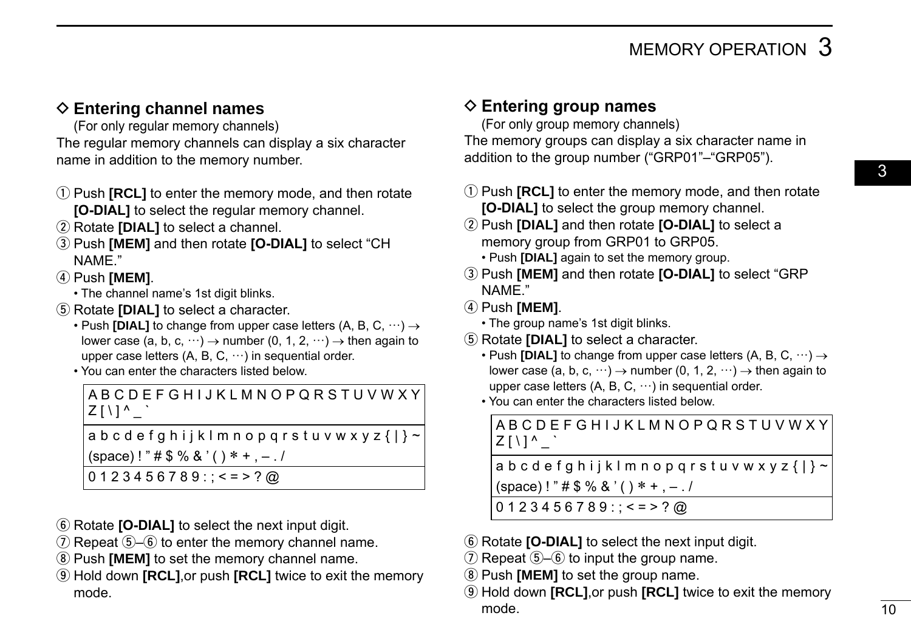### <span id="page-16-0"></span>**♦ Entering channel names**

(For only regular memory channels) The regular memory channels can display a six character

name in addition to the memory number.

- (1) Push **[RCL]** to enter the memory mode, and then rotate **[O-DIAL]** to select the regular memory channel.
- (2) Rotate **[DIAL]** to select a channel.
- e Push **[MEM]** and then rotate **[O-DIAL]** to select "CH NAME."

r Push **[MEM]**.

- The channel name's 1st digit blinks.
- (5) Rotate **[DIAL]** to select a character.
	- Push **[DIAL]** to change from upper case letters (A, B, C, ···) → lower case (a, b, c,  $\cdots$ )  $\rightarrow$  number (0, 1, 2,  $\cdots$ )  $\rightarrow$  then again to upper case letters  $(A, B, C, \cdots)$  in sequential order.
	- You can enter the characters listed below.

A B C D E F G H I J K L M N O P Q R S T U V W X Y  $Z \mid \setminus \mid$ <sup>^</sup>  $\cdot$ a b c d e f g h i j k l m n o p q r s t u v w x y z  $\{| \}$  ~

 $(space)$ !" # \$ % & '() \* +, -./

 $0123456789$ : ; < = > ? @

- **6** Rotate **[O-DIAL]** to select the next input digit.
- $\overline{v}$  Repeat  $\overline{v}$ – $\overline{v}$  to enter the memory channel name.
- **8** Push **[MEM]** to set the memory channel name.
- o Hold down **[RCL]**,or push **[RCL]** twice to exit the memory mode.

### **♦ Entering group names**

(For only group memory channels)

The memory groups can display a six character name in addition to the group number ("GRP01"–"GRP05").

- (1) Push **[RCL]** to enter the memory mode, and then rotate **[O-DIAL]** to select the group memory channel.
- w Push **[DIAL]** and then rotate **[O-DIAL]** to select a memory group from GRP01 to GRP05. • Push **[DIAL]** again to set the memory group.
- e Push **[MEM]** and then rotate **[O-DIAL]** to select "GRP NAME."
- r Push **[MEM]**.
	- The group name's 1st digit blinks.
- **5** Rotate **[DIAL]** to select a character.
	- Push **[DIAL]** to change from upper case letters (A, B, C,  $\dots$ )  $\rightarrow$ lower case (a, b, c,  $\cdots$ )  $\rightarrow$  number (0, 1, 2,  $\cdots$ )  $\rightarrow$  then again to upper case letters  $(A, B, C, \cdots)$  in sequential order.
	- You can enter the characters listed below.

A B C D E F G H I J K L M N O P Q R S T U V W X Y  $Z \mid \setminus \mid$ <sup>^</sup>  $\cdot$  $abcdefghijklmnopqrstuvwxyz{}{}{}_{k}$ 

 $(space)$ ! " $# $ \%$ & '( ) \* +, -.

- $0123456789$ : ; < = > ? @
- **6** Rotate **[O-DIAL]** to select the next input digit.
- $\overline{U}$  Repeat  $\overline{U}$ – $\overline{U}$  to input the group name.
- **(8) Push <b>[MEM]** to set the group name.
- o Hold down **[RCL]**,or push **[RCL]** twice to exit the memory mode.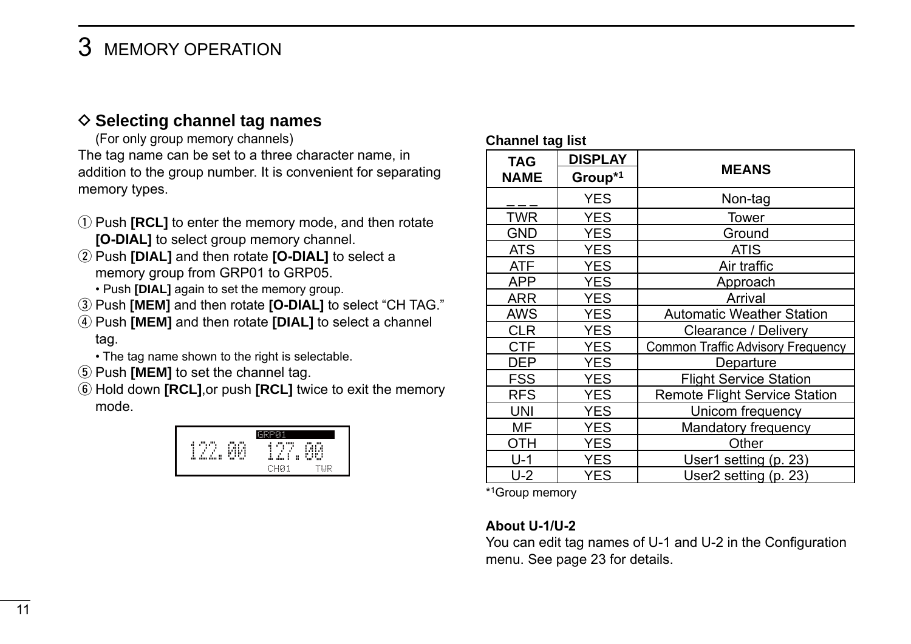### <span id="page-17-0"></span>**♦ Selecting channel tag names**

(For only group memory channels) The tag name can be set to a three character name, in addition to the group number. It is convenient for separating memory types.

- q Push **[RCL]** to enter the memory mode, and then rotate **[O-DIAL]** to select group memory channel.
- w Push **[DIAL]** and then rotate **[O-DIAL]** to select a memory group from GRP01 to GRP05.
	- Push **[DIAL]** again to set the memory group.
- e Push **[MEM]** and then rotate **[O-DIAL]** to select "CH TAG."
- r Push **[MEM]** and then rotate **[DIAL]** to select a channel tag.
	- The tag name shown to the right is selectable.
- (5) Push **[MEM]** to set the channel tag.
- y Hold down **[RCL]**,or push **[RCL]** twice to exit the memory mode.



#### **Channel tag list**

| <b>TAG</b>  | <b>DISPLAY</b> |                                      |  |
|-------------|----------------|--------------------------------------|--|
| <b>NAME</b> | Group*1        | <b>MEANS</b>                         |  |
|             | <b>YES</b>     | Non-tag                              |  |
| <b>TWR</b>  | YES            | Tower                                |  |
| GND         | YES            | Ground                               |  |
| ATS.        | YES            | <b>ATIS</b>                          |  |
| <b>ATF</b>  | YES            | Air traffic                          |  |
| APP         | YES            | Approach                             |  |
| ARR         | YES            | Arrival                              |  |
| AWS         | YES            | <b>Automatic Weather Station</b>     |  |
| CLR         | YES            | Clearance / Delivery                 |  |
| <b>CTF</b>  | <b>YES</b>     | Common Traffic Advisory Frequency    |  |
| DEP         | YES            | Departure                            |  |
| FSS         | YES            | <b>Flight Service Station</b>        |  |
| <b>RFS</b>  | YES            | <b>Remote Flight Service Station</b> |  |
| UNI         | YES            | Unicom frequency                     |  |
| МF          | YES            | Mandatory frequency                  |  |
| отн         | YES            | Other                                |  |
| U-1         | YES            | User1 setting (p. 23)                |  |
| U-2         | YES            | User2 setting (p. 23)                |  |

\*1Group memory

#### **About U-1/U-2**

You can edit tag names of U-1 and U-2 in the Configuration menu. See page 23 for details.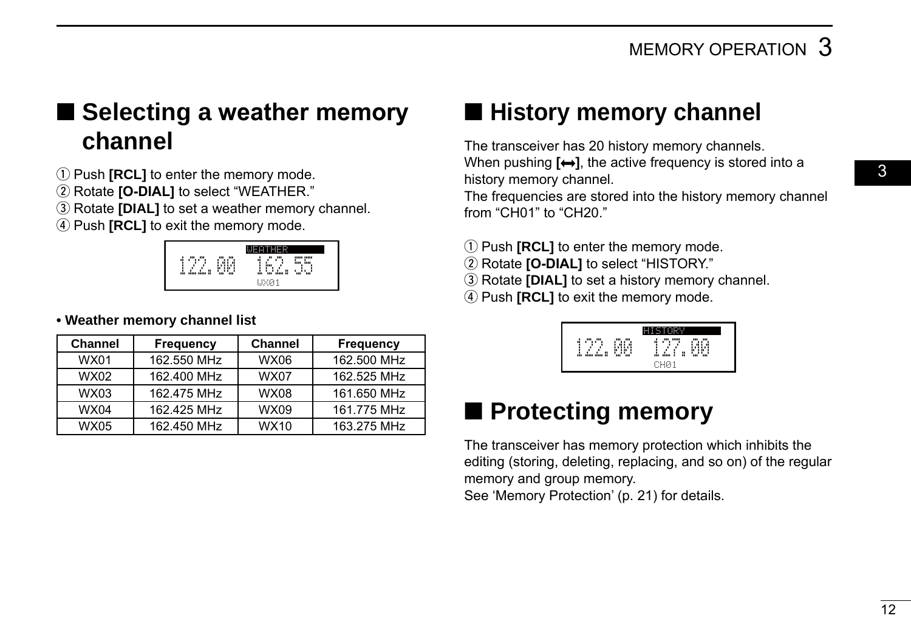### <span id="page-18-0"></span>■ Selecting a weather memory **channel**

**1**) Push **[RCL]** to enter the memory mode.

(2) Rotate **[O-DIAL]** to select "WEATHER."

**(3) Rotate <b>[DIAL]** to set a weather memory channel.

(4) Push **[RCL]** to exit the memory mode.



#### **• Weather memory channel list**

| <b>Channel</b> | Frequency   | <b>Channel</b> | <b>Frequency</b> |
|----------------|-------------|----------------|------------------|
| <b>WX01</b>    | 162.550 MHz | <b>WX06</b>    | 162.500 MHz      |
| WX02           | 162.400 MHz | <b>WX07</b>    | 162.525 MHz      |
| <b>WX03</b>    | 162.475 MHz | <b>WX08</b>    | 161.650 MHz      |
| <b>WX04</b>    | 162.425 MHz | WX09           | 161.775 MHz      |
| <b>WX05</b>    | 162.450 MHz | WX10           | 163.275 MHz      |

### ■ **History memory channel**

The transceiver has 20 history memory channels. When pushing  $[\leftrightarrow]$ , the active frequency is stored into a history memory channel.

The frequencies are stored into the history memory channel from "CH01" to "CH20."

- **1**) Push **[RCL]** to enter the memory mode.
- (2) Rotate **[O-DIAL]** to select "HISTORY."
- **3** Rotate **[DIAL]** to set a history memory channel.
- **4** Push **[RCL]** to exit the memory mode.

| <br>¢<br>ı<br>٠<br>H<br>m<br> | <br><br>ń<br>ш<br>۳<br>'n.<br>m | ,,,,,<br><br>ш<br><br>٠<br>۹<br>п<br>n.<br>۳<br>H<br>m<br>m<br>m |  |
|-------------------------------|---------------------------------|------------------------------------------------------------------|--|

### ■ **Protecting memory**

The transceiver has memory protection which inhibits the editing (storing, deleting, replacing, and so on) of the regular memory and group memory.

See 'Memory Protection' (p. 21) for details.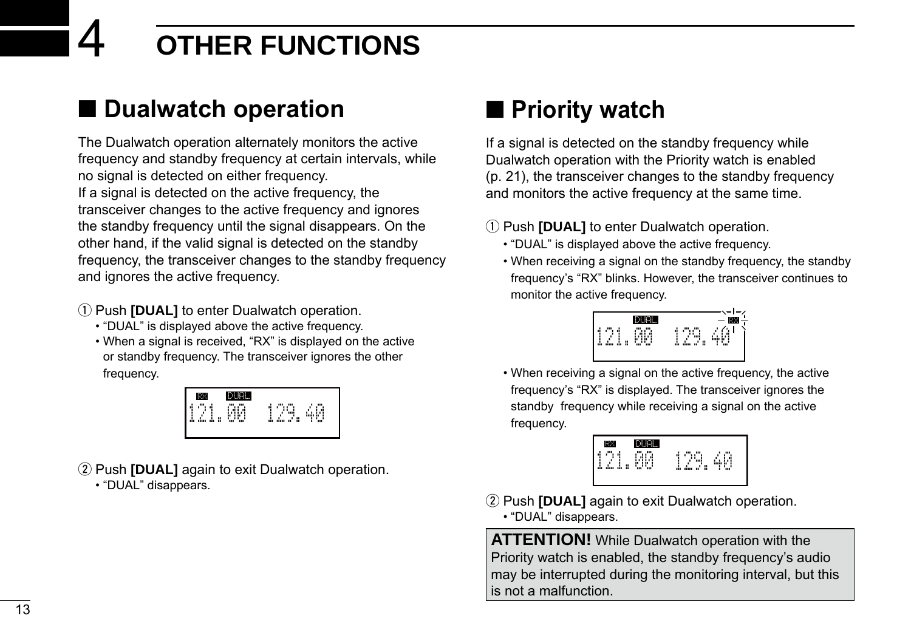# <span id="page-19-0"></span>4 **OTHER FUNCTIONS**

### ■ **Dualwatch operation**

The Dualwatch operation alternately monitors the active frequency and standby frequency at certain intervals, while no signal is detected on either frequency. If a signal is detected on the active frequency, the transceiver changes to the active frequency and ignores the standby frequency until the signal disappears. On the other hand, if the valid signal is detected on the standby frequency, the transceiver changes to the standby frequency and ignores the active frequency.

- (1) Push **[DUAL]** to enter Dualwatch operation.
	- "DUAL" is displayed above the active frequency.
	- When a signal is received, "RX" is displayed on the active or standby frequency. The transceiver ignores the other frequency.



- 2 Push **[DUAL]** again to exit Dualwatch operation.
	- "DUAL" disappears.

### ■ **Priority watch**

If a signal is detected on the standby frequency while Dualwatch operation with the Priority watch is enabled (p. 21), the transceiver changes to the standby frequency and monitors the active frequency at the same time.

(1) Push **[DUAL]** to enter Dualwatch operation.

- "DUAL" is displayed above the active frequency.
- When receiving a signal on the standby frequency, the standby frequency's "RX" blinks. However, the transceiver continues to monitor the active frequency.



• When receiving a signal on the active frequency, the active frequency's "RX" is displayed. The transceiver ignores the standby frequency while receiving a signal on the active frequency.



- (2) Push **[DUAL]** again to exit Dualwatch operation.
	- "DUAL" disappears.

**ATTENTION!** While Dualwatch operation with the Priority watch is enabled, the standby frequency's audio may be interrupted during the monitoring interval, but this is not a malfunction.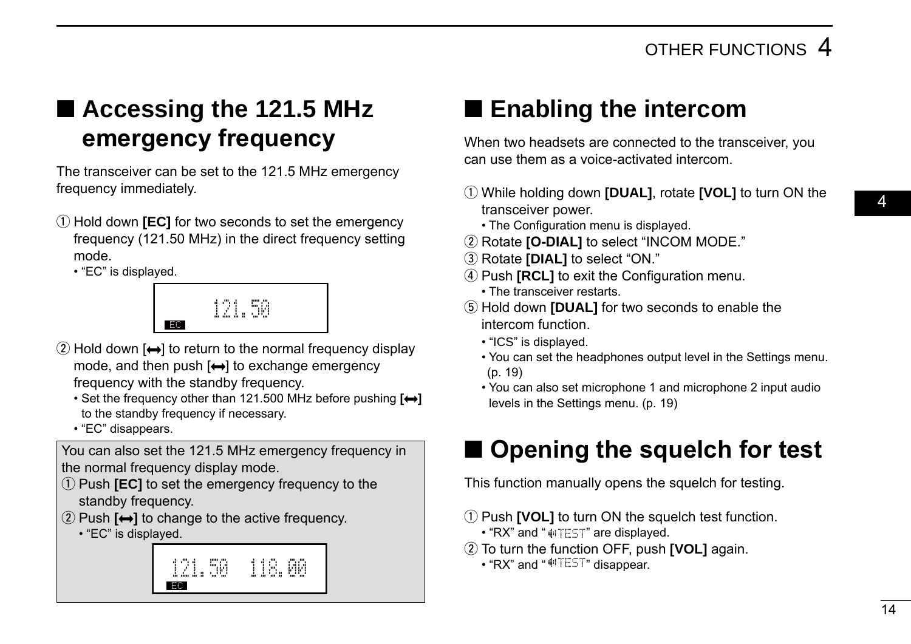### <span id="page-20-0"></span>■ **Accessing the 121.5 MHz emergency frequency**

The transceiver can be set to the 121.5 MHz emergency frequency immediately.

(1) Hold down **[EC]** for two seconds to set the emergency frequency (121.50 MHz) in the direct frequency setting mode.

• "EC" is displayed.



- $\Omega$  Hold down  $\leftarrow$  to return to the normal frequency display mode, and then push  $\leftrightarrow$  to exchange emergency frequency with the standby frequency.
	- •  Set the frequency other than 121.500 MHz before pushing **[ ]** to the standby frequency if necessary.
	- "EC" disappears.

You can also set the 121.5 MHz emergency frequency in the normal frequency display mode.

- q Push **[EC]** to set the emergency frequency to the standby frequency.
- $\Omega$  Push  $\left[\rightarrow\right]$  to change to the active frequency.
	- "EC" is displayed.



### ■ **Enabling the intercom**

When two headsets are connected to the transceiver, you can use them as a voice-activated intercom.

- q While holding down **[DUAL]**, rotate **[VOL]** to turn ON the transceiver power.
	- The Configuration menu is displayed.
- (2) Rotate **[O-DIAL]** to select "INCOM MODE."
- **(3) Rotate [DIAL]** to select "ON."
- **(4) Push <b>IRCLI** to exit the Configuration menu.
	- The transceiver restarts.
- **5**) Hold down **[DUAL]** for two seconds to enable the intercom function.
	- "ICS" is displayed.
	- You can set the headphones output level in the Settings menu. (p. 19)
	- You can also set microphone 1 and microphone 2 input audio levels in the Settings menu. (p. 19)

### ■ **Opening the squelch for test**

This function manually opens the squelch for testing.

- (1) Push **[VOL]** to turn ON the squelch test function.
	- $\cdot$  "RX" and " $\parallel$ "TEST" are displayed.
- (2) To turn the function OFF, push **[VOL]** again.
	- $\cdot$  "RX" and " $\Pi$ EST" disappear.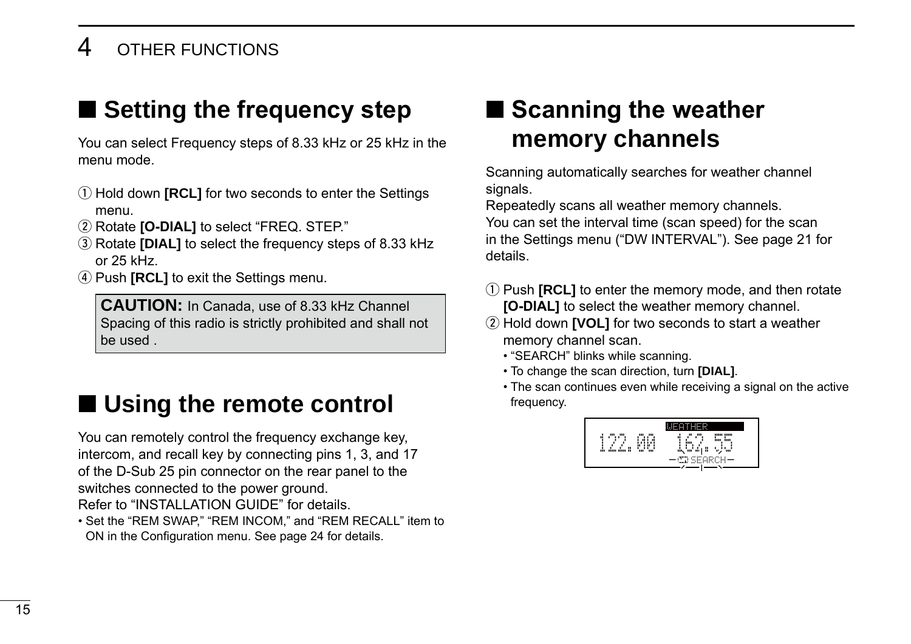### <span id="page-21-0"></span>4 OTHER FUNCTIONS

### ■ **Setting the frequency step**

You can select Frequency steps of 8.33 kHz or 25 kHz in the menu mode.

- (1) Hold down **[RCL]** for two seconds to enter the Settings menu.
- (2) Rotate **[O-DIAL]** to select "FREQ. STEP."
- e Rotate **[DIAL]** to select the frequency steps of 8.33 kHz or 25 kHz.
- *(4)* **Push <b>[RCL]** to exit the Settings menu.

**CAUTION:** In Canada, use of 8.33 kHz Channel Spacing of this radio is strictly prohibited and shall not be used .

### ■ Using the remote control

You can remotely control the frequency exchange key, intercom, and recall key by connecting pins 1, 3, and 17 of the D-Sub 25 pin connector on the rear panel to the switches connected to the power ground.

Refer to "INSTALLATION GUIDE" for details.

• Set the "REM SWAP," "REM INCOM," and "REM RECALL" item to ON in the Configuration menu. See page 24 for details.

### ■ **Scanning the weather memory channels**

Scanning automatically searches for weather channel signals.

Repeatedly scans all weather memory channels. You can set the interval time (scan speed) for the scan in the Settings menu ("DW INTERVAL"). See page 21 for details.

- (1) Push **[RCL]** to enter the memory mode, and then rotate **[O-DIAL]** to select the weather memory channel.
- (2) Hold down **[VOL]** for two seconds to start a weather memory channel scan.
	- "SEARCH" blinks while scanning.
	- To change the scan direction, turn **[DIAL]**.
	- The scan continues even while receiving a signal on the active frequency.

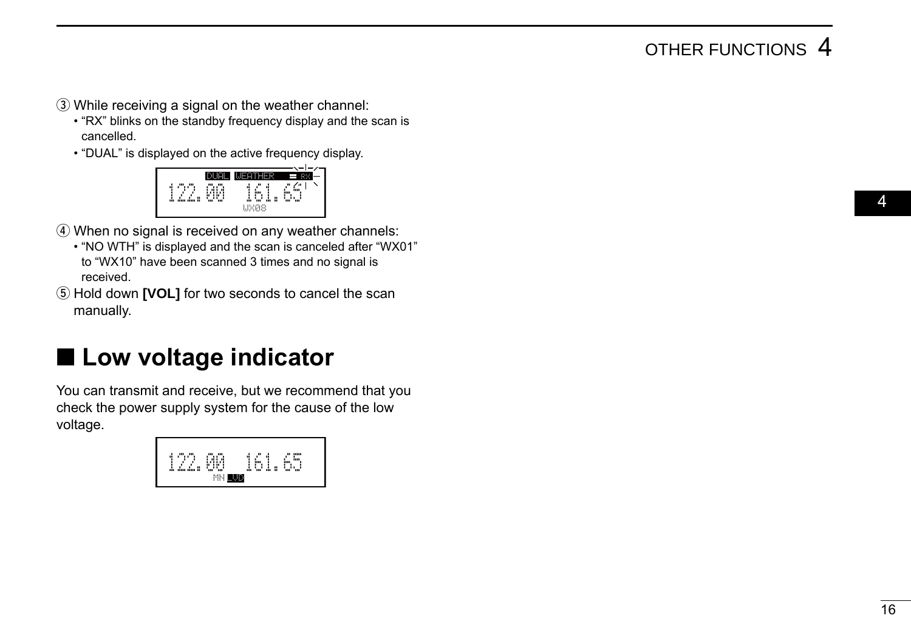### OTHER FUNCTIONS 4

- <span id="page-22-0"></span>**(3) While receiving a signal on the weather channel:** 
	- "RX" blinks on the standby frequency display and the scan is cancelled.
	- "DUAL" is displayed on the active frequency display.



- 4) When no signal is received on any weather channels:
	- "NO WTH" is displayed and the scan is canceled after "WX01" to "WX10" have been scanned 3 times and no signal is received.
- (5) Hold down **[VOL]** for two seconds to cancel the scan manually.

### ■ Low voltage indicator

You can transmit and receive, but we recommend that you check the power supply system for the cause of the low voltage.

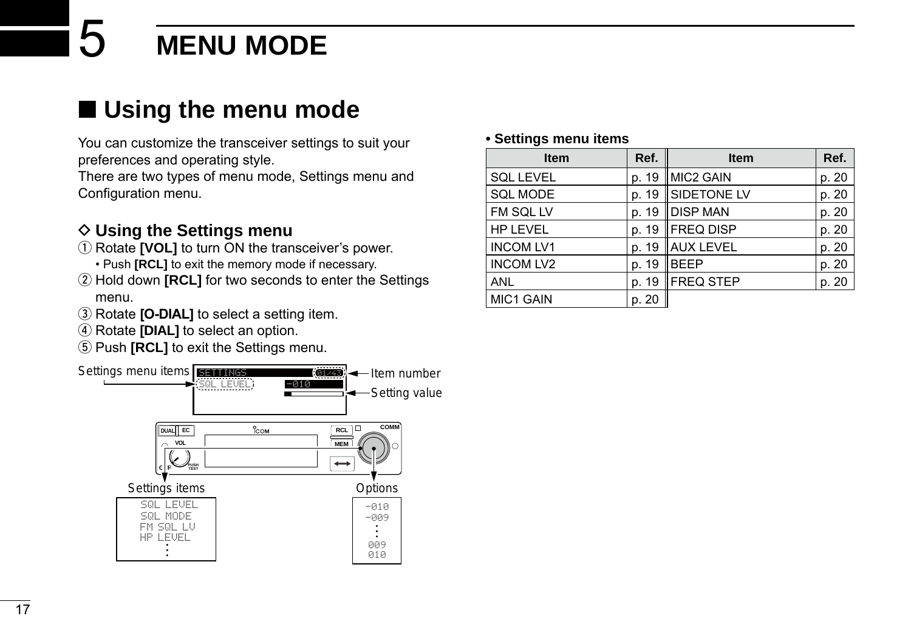### <span id="page-23-0"></span>■ Using the menu mode

You can customize the transceiver settings to suit your preferences and operating style.

There are two types of menu mode, Settings menu and Configuration menu.

### $\diamond$  Using the Settings menu

- q Rotate **[VOL]** to turn ON the transceiver's power.
	- Push **[RCL]** to exit the memory mode if necessary.
- 2 Hold down **[RCL]** for two seconds to enter the Settings menu.
- **(3) Rotate <b>[O-DIAL]** to select a setting item.
- **4**) Rotate **[DIAL]** to select an option.
- **5 Push <b>[RCL]** to exit the Settings menu.



#### **• Settings menu items**

| <b>Item</b>      | Ref.  | <b>Item</b>       | Ref.  |
|------------------|-------|-------------------|-------|
| <b>SQL LEVEL</b> | p. 19 | MIC2 GAIN         | p. 20 |
| SQL MODE         | p. 19 | SIDETONE LV       | p. 20 |
| FM SQL LV        | p. 19 | <b>DISP MAN</b>   | p. 20 |
| <b>HP LEVEL</b>  | p. 19 | FREQ DISP         | p. 20 |
| <b>INCOM LV1</b> | p. 19 | AUX LEVEL         | p. 20 |
| <b>INCOM LV2</b> | p. 19 | <b>BEEP</b>       | p. 20 |
| <b>ANL</b>       | p. 19 | <b>IFREQ STEP</b> | p. 20 |
| MIC1 GAIN        | p. 20 |                   |       |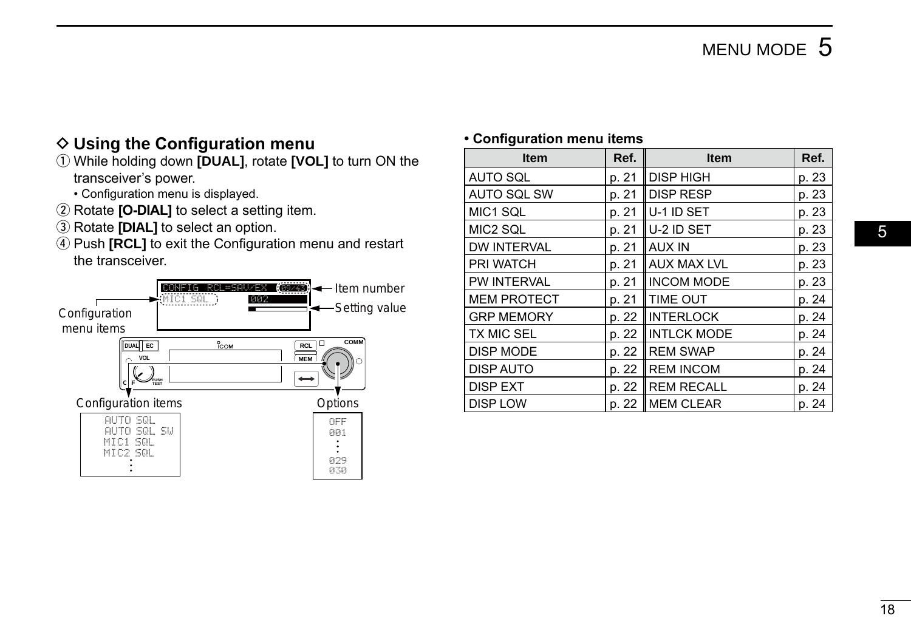### <span id="page-24-0"></span>**♦ Using the Configuration menu**

- q While holding down **[DUAL]**, rotate **[VOL]** to turn ON the transceiver's power.
	- Configuration menu is displayed.
- 2 Rotate **[O-DIAL]** to select a setting item.
- **3** Rotate **[DIAL]** to select an option.
- 4) Push **[RCL]** to exit the Configuration menu and restart the transceiver.



#### **• Configuration menu items**

| <b>Item</b>        | Ref.  | <b>Item</b>        | Ref.  |
|--------------------|-------|--------------------|-------|
| AUTO SQL           | p. 21 | DISP HIGH          | p. 23 |
| <b>AUTO SQL SW</b> | p. 21 | <b>DISP RESP</b>   | p. 23 |
| MIC1 SQL           | p. 21 | U-1 ID SET         | p. 23 |
| MIC2 SQL           | p. 21 | lu-2 ID SET        | p. 23 |
| <b>DW INTERVAL</b> | p. 21 | <b>AUX IN</b>      | p. 23 |
| PRI WATCH          | p. 21 | <b>AUX MAX LVL</b> | p. 23 |
| PW INTERVAL        | p. 21 | <b>INCOM MODE</b>  | p. 23 |
| <b>MEM PROTECT</b> | p. 21 | <b>TIME OUT</b>    | p. 24 |
| <b>GRP MEMORY</b>  | p. 22 | INTERLOCK          | p. 24 |
| <b>TX MIC SEL</b>  | p. 22 | <b>INTLCK MODE</b> | p. 24 |
| DISP MODE          | p. 22 | <b>IREM SWAP</b>   | p. 24 |
| <b>DISP AUTO</b>   | p. 22 | <b>REM INCOM</b>   | p. 24 |
| <b>DISP EXT</b>    | p. 22 | REM RECALL         | p. 24 |
| <b>DISP LOW</b>    | p. 22 | MEM CLEAR          | p. 24 |
|                    |       |                    |       |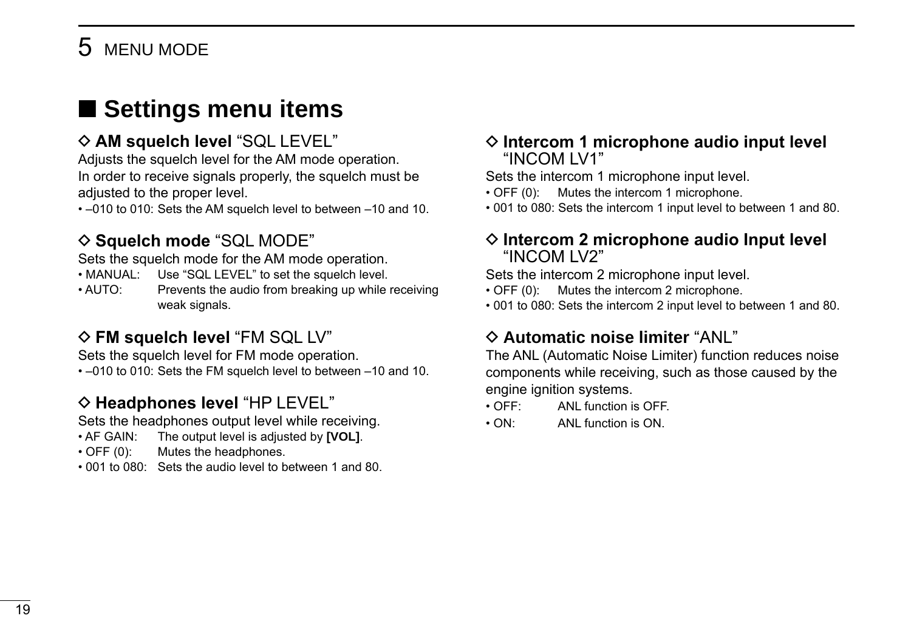### <span id="page-25-0"></span>■ **Settings menu items**

### $\Diamond$  AM squelch level "SQL LEVEL"

Adjusts the squelch level for the AM mode operation. In order to receive signals properly, the squelch must be adjusted to the proper level.

• –010 to 010: Sets the AM squelch level to between –10 and 10.

### $\diamond$  **Squelch mode** "SQL MODE"

Sets the squelch mode for the AM mode operation.

- MANUAL: Use "SQL LEVEL" to set the squelch level.
- AUTO: Prevents the audio from breaking up while receiving weak signals.

### **◇ FM squelch level "FM SQL LV"**

Sets the squelch level for FM mode operation.

• –010 to 010: Sets the FM squelch level to between –10 and 10.

### $\diamond$  **Headphones level** "HP LEVEL"

Sets the headphones output level while receiving.

- AF GAIN: The output level is adjusted by **[VOL]**.
- OFF (0): Mutes the headphones.
- 001 to 080: Sets the audio level to between 1 and 80.

#### **◇ Intercom 1 microphone audio input level** "INCOM LV1"

Sets the intercom 1 microphone input level.

- OFF (0): Mutes the intercom 1 microphone.
- 001 to 080: Sets the intercom 1 input level to between 1 and 80.

#### **◇ Intercom 2 microphone audio Input level** "INCOM LV2"

Sets the intercom 2 microphone input level.

- OFF (0): Mutes the intercom 2 microphone.
- 001 to 080: Sets the intercom 2 input level to between 1 and 80.

### $\Diamond$  Automatic noise limiter "ANL"

The ANL (Automatic Noise Limiter) function reduces noise components while receiving, such as those caused by the engine ignition systems.

- OFF: ANL function is OFF.
- ON: ANL function is ON.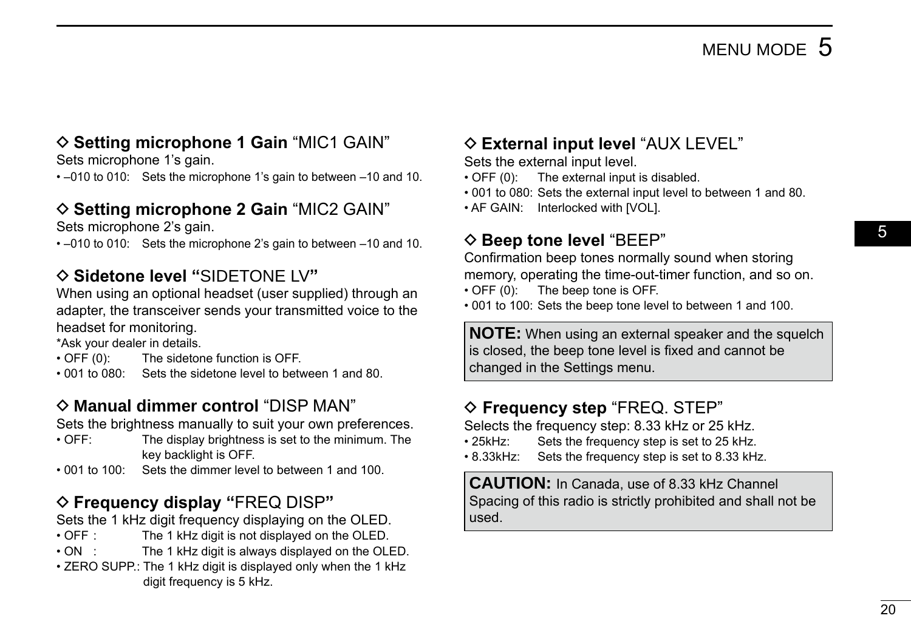05

### <span id="page-26-0"></span> $\Diamond$  **Setting microphone 1 Gain** "MIC1 GAIN"

Sets microphone 1's gain.

• –010 to 010: Sets the microphone 1's gain to between –10 and 10.

### $\Diamond$  **Setting microphone 2 Gain** "MIC2 GAIN"

Sets microphone 2's gain.

• –010 to 010: Sets the microphone 2's gain to between –10 and 10.

### D **Sidetone level "**SIDETONE LV**"**

When using an optional headset (user supplied) through an adapter, the transceiver sends your transmitted voice to the headset for monitoring.

\*Ask your dealer in details.

- OFF (0): The sidetone function is OFF.
- 001 to 080: Sets the sidetone level to between 1 and 80.

### $\Diamond$  **Manual dimmer control** "DISP MAN"

Sets the brightness manually to suit your own preferences.<br>• OFF: The display brightness is set to the minimum The

- The display brightness is set to the minimum. The key backlight is OFF.
- 001 to 100: Sets the dimmer level to between 1 and 100.

### D **Frequency display "**FREQ DISP**"**

Sets the 1 kHz digit frequency displaying on the OLED.

- OFF : The 1 kHz digit is not displayed on the OLED.<br>• ON : The 1 kHz digit is always displayed on the OLI
- The 1 kHz digit is always displayed on the OLED.
- ZERO SUPP.: The 1 kHz digit is displayed only when the 1 kHz digit frequency is 5 kHz.

### $\Diamond$  **External input level** "AUX LEVEL"

Sets the external input level.

- OFF (0): The external input is disabled.
- 001 to 080: Sets the external input level to between 1 and 80.
- AF GAIN: Interlocked with [VOL].

### $\diamond$  **Beep tone level** "BEEP"

Confirmation beep tones normally sound when storing

memory, operating the time-out-timer function, and so on.

• OFF (0): The beep tone is OFF.

• 001 to 100: Sets the beep tone level to between 1 and 100.

**NOTE:** When using an external speaker and the squelch is closed, the beep tone level is fixed and cannot be changed in the Settings menu.

### D **Frequency step** "FREQ. STEP"

Selects the frequency step: 8.33 kHz or 25 kHz.

- 25kHz: Sets the frequency step is set to 25 kHz.
- 8.33kHz: Sets the frequency step is set to 8.33 kHz.

**CAUTION:** In Canada, use of 8.33 kHz Channel Spacing of this radio is strictly prohibited and shall not be used.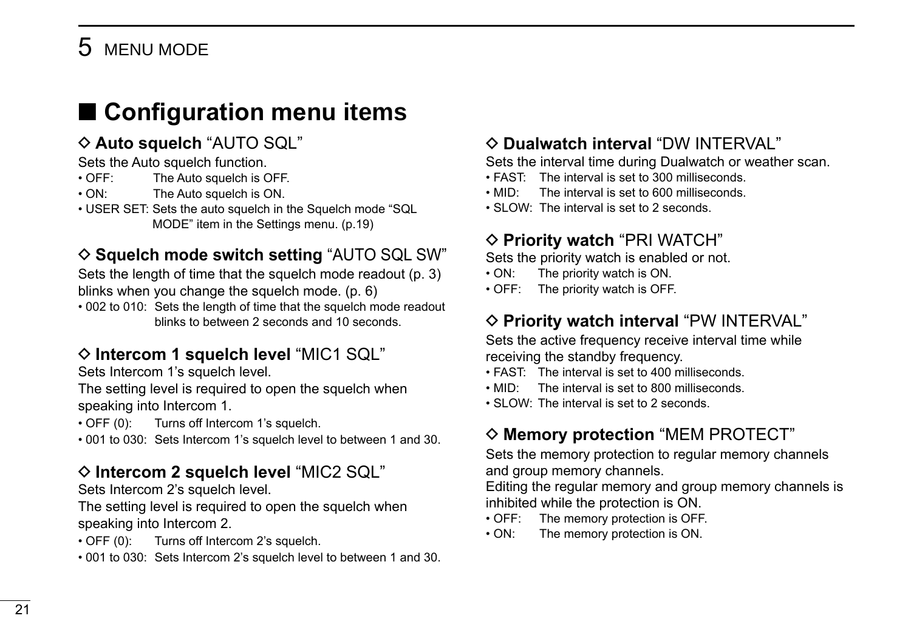### <span id="page-27-0"></span>■ **Configuration menu items**

### $\diamond$  Auto squelch "AUTO SQL"

Sets the Auto squelch function.<br>  $\cdot$  OFF: The Auto squelch is 0

- The Auto squelch is OFF.
- ON: The Auto squelch is ON.
- USER SET: Sets the auto squelch in the Squelch mode "SQL MODE" item in the Settings menu. (p.19)

### **◇ Squelch mode switch setting "AUTO SQL SW"**

Sets the length of time that the squelch mode readout (p. 3) blinks when you change the squelch mode. (p. 6)

• 002 to 010: Sets the length of time that the squelch mode readout blinks to between 2 seconds and 10 seconds.

### $\Diamond$  Intercom 1 squelch level "MIC1 SQL"

Sets Intercom 1's squelch level.

The setting level is required to open the squelch when speaking into Intercom 1.

• OFF (0): Turns off Intercom 1's squelch.

• 001 to 030: Sets Intercom 1's squelch level to between 1 and 30.

### D **Intercom 2 squelch level** "MIC2 SQL"

Sets Intercom 2's squelch level.

The setting level is required to open the squelch when speaking into Intercom 2.

- OFF (0): Turns off Intercom 2's squelch.
- 001 to 030: Sets Intercom 2's squelch level to between 1 and 30.

### $\diamond$  Dualwatch interval "DW INTERVAL"

Sets the interval time during Dualwatch or weather scan.

- FAST: The interval is set to 300 milliseconds.
- MID: The interval is set to 600 milliseconds.
- SLOW: The interval is set to 2 seconds.

### **◇ Priority watch "PRI WATCH"**

Sets the priority watch is enabled or not.

- ON: The priority watch is ON.
- OFF: The priority watch is OFF.

### $\diamond$  Priority watch interval "PW INTERVAL"

Sets the active frequency receive interval time while receiving the standby frequency.

- FAST: The interval is set to 400 milliseconds.
- MID: The interval is set to 800 milliseconds.
- SLOW: The interval is set to 2 seconds.

### $\diamond$  **Memory protection** "MEM PROTECT"

Sets the memory protection to regular memory channels and group memory channels.

Editing the regular memory and group memory channels is inhibited while the protection is ON.

- OFF: The memory protection is OFF.
- ON: The memory protection is ON.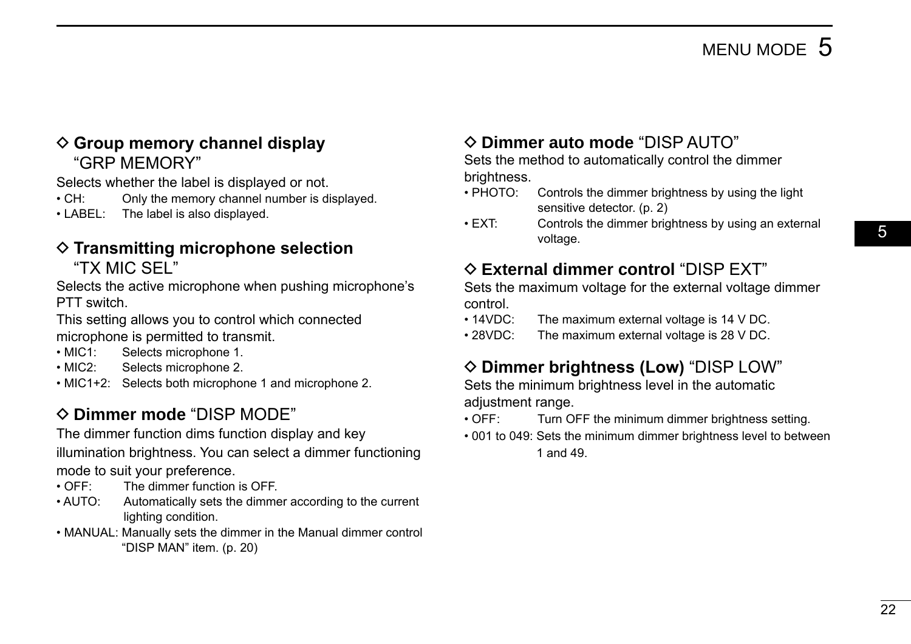### <span id="page-28-0"></span>**♦ Group memory channel display** "GRP MEMORY"

Selects whether the label is displayed or not.

- CH: Only the memory channel number is displayed.
- LABEL: The label is also displayed.

#### $\diamond$  Transmitting microphone selection "TX MIC SEL"

Selects the active microphone when pushing microphone's PTT switch.

This setting allows you to control which connected microphone is permitted to transmit.

- MIC1: Selects microphone 1.
- MIC2: Selects microphone 2.
- MIC1+2: Selects both microphone 1 and microphone 2.

### $\Diamond$  **Dimmer mode** "DISP MODE"

The dimmer function dims function display and key

illumination brightness. You can select a dimmer functioning mode to suit your preference.

- OFF: The dimmer function is OFF.
- AUTO: Automatically sets the dimmer according to the current lighting condition.
- MANUAL: Manually sets the dimmer in the Manual dimmer control "DISP MAN" item. (p. 20)

### D **Dimmer auto mode** "DISP AUTO"

Sets the method to automatically control the dimmer brightness.

- PHOTO: Controls the dimmer brightness by using the light sensitive detector (p. 2)
- EXT: Controls the dimmer brightness by using an external voltage.

### D **External dimmer control** "DISP EXT"

Sets the maximum voltage for the external voltage dimmer control.

- 14VDC: The maximum external voltage is 14 V DC.
- 28VDC: The maximum external voltage is 28 V DC.

### D **Dimmer brightness (Low)** "DISP LOW"

Sets the minimum brightness level in the automatic adiustment range.

- OFF: Turn OFF the minimum dimmer brightness setting.
- 001 to 049: Sets the minimum dimmer brightness level to between 1 and 49.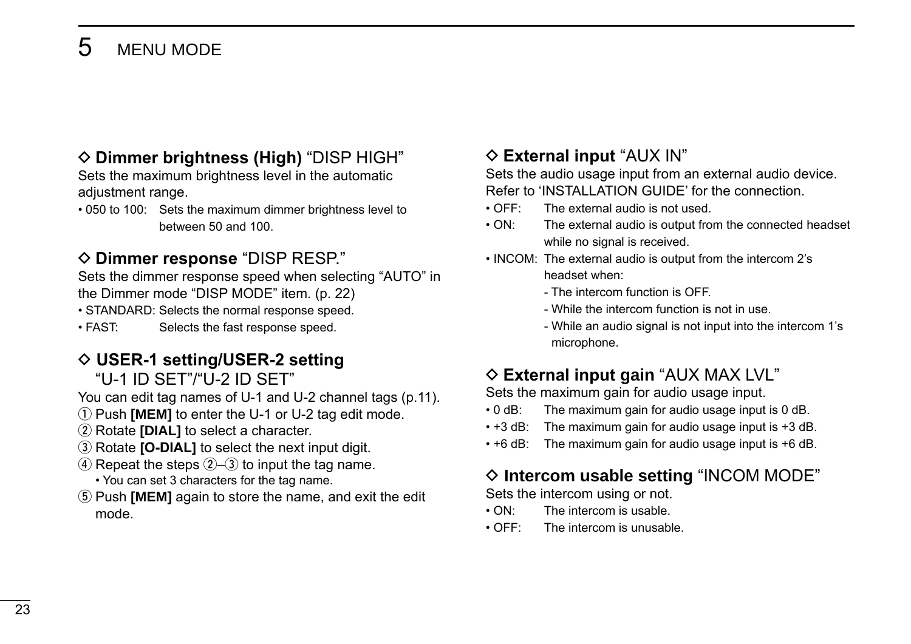### <span id="page-29-0"></span> $\diamond$  **Dimmer brightness (High)** "DISP HIGH"

Sets the maximum brightness level in the automatic adjustment range.

• 050 to 100: Sets the maximum dimmer brightness level to between 50 and 100.

### **◇ Dimmer response "DISP RESP."**

Sets the dimmer response speed when selecting "AUTO" in the Dimmer mode "DISP MODE" item. (p. 22)

• STANDARD: Selects the normal response speed.

• FAST: Selects the fast response speed.

### **◇ USER-1 setting/USER-2 setting**

"U-1 ID SET"/"U-2 ID SET"

You can edit tag names of U-1 and U-2 channel tags (p.11).

- q Push **[MEM]** to enter the U-1 or U-2 tag edit mode.
- (2) Rotate **[DIAL]** to select a character.
- **3**) Rotate **[O-DIAL]** to select the next input digit.
- $\overline{a}$  Repeat the steps  $\overline{a}$ – $\overline{a}$  to input the tag name.
	- You can set 3 characters for the tag name.
- **5** Push **[MEM]** again to store the name, and exit the edit mode.

### $\Diamond$  **External input** "AUX IN"

Sets the audio usage input from an external audio device. Refer to 'INSTALLATION GUIDE' for the connection.

- OFF: The external audio is not used.
- ON: The external audio is output from the connected headset while no signal is received.
- INCOM: The external audio is output from the intercom 2's headset when:
	- The intercom function is OFF.
	- While the intercom function is not in use.
	- While an audio signal is not input into the intercom 1's microphone.

### $\Diamond$  **External input gain** "AUX MAX LVL"

Sets the maximum gain for audio usage input.

- 0 dB: The maximum gain for audio usage input is 0 dB.
- +3 dB: The maximum gain for audio usage input is +3 dB.
- +6 dB: The maximum gain for audio usage input is +6 dB.

### $\diamond$  Intercom usable setting "INCOM MODE"

Sets the intercom using or not.

- ON: The intercom is usable.
- OFF: The intercom is unusable.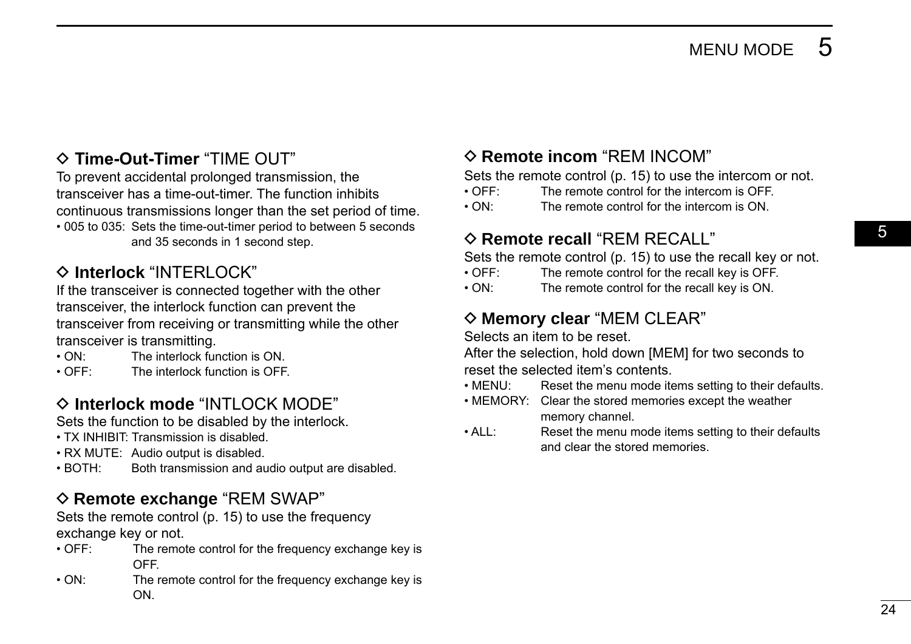05

### <span id="page-30-0"></span>D **Time-Out-Timer** "TIME OUT"

To prevent accidental prolonged transmission, the transceiver has a time-out-timer. The function inhibits continuous transmissions longer than the set period of time. • 005 to 035: Sets the time-out-timer period to between 5 seconds and 35 seconds in 1 second step.

### $\Diamond$  Interlock "INTERLOCK"

If the transceiver is connected together with the other transceiver, the interlock function can prevent the transceiver from receiving or transmitting while the other transceiver is transmitting.

- ON: The interlock function is ON
- OFF: The interlock function is OFF

### $\Diamond$  Interlock mode "INTLOCK MODE"

Sets the function to be disabled by the interlock.

- TX INHIBIT: Transmission is disabled.
- RX MUTE: Audio output is disabled.
- BOTH: Both transmission and audio output are disabled.

#### $\diamond$  **Remote exchange** "REM SWAP"

Sets the remote control (p. 15) to use the frequency exchange key or not.

- OFF: The remote control for the frequency exchange key is OFF.
- ON: The remote control for the frequency exchange key is ON.

### $\Diamond$  **Remote incom** "REM INCOM"

Sets the remote control (p. 15) to use the intercom or not.

- OFF: The remote control for the intercom is OFF.
- ON: The remote control for the intercom is ON.

### $\Diamond$  **Remote recall** "REM RECALL"

Sets the remote control (p. 15) to use the recall key or not.

- OFF: The remote control for the recall key is OFF.
- ON: The remote control for the recall key is ON.

### $\diamond$  **Memory clear** "MEM CLEAR"

Selects an item to be reset.

After the selection, hold down [MEM] for two seconds to reset the selected item's contents.

- MENU: Reset the menu mode items setting to their defaults.
- MEMORY: Clear the stored memories except the weather memory channel.
- ALL: Reset the menu mode items setting to their defaults and clear the stored memories.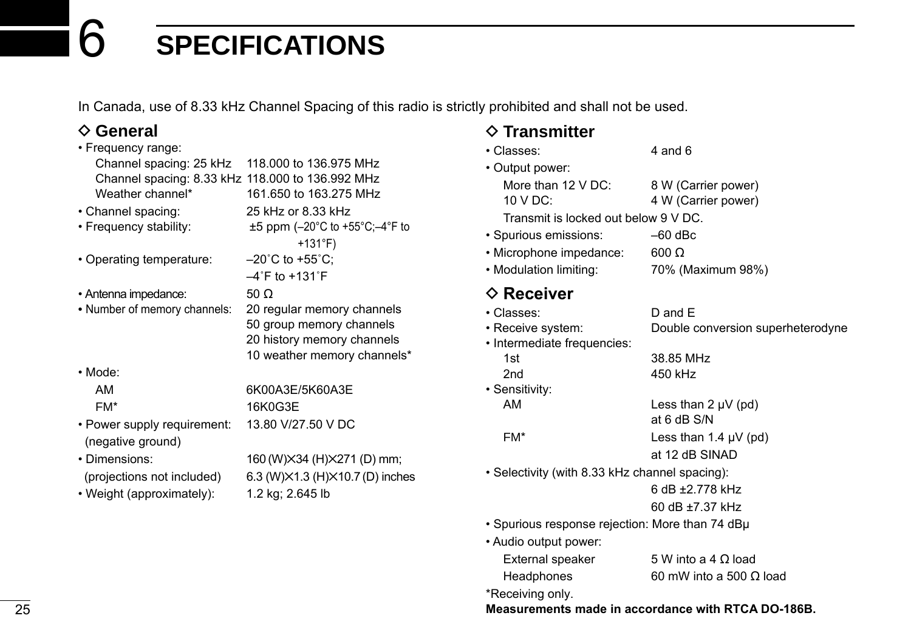<span id="page-31-0"></span>In Canada, use of 8.33 kHz Channel Spacing of this radio is strictly prohibited and shall not be used.

### **♦ General**

| • Frequency range:                               |                                                   |
|--------------------------------------------------|---------------------------------------------------|
| Channel spacing: 25 kHz                          | 118,000 to 136,975 MHz                            |
| Channel spacing: 8.33 kHz 118.000 to 136.992 MHz |                                                   |
| Weather channel*                                 | 161,650 to 163,275 MHz                            |
| • Channel spacing:                               | 25 kHz or 8.33 kHz                                |
| • Frequency stability:                           | $\pm 5$ ppm (-20°C to +55°C;-4°F to               |
|                                                  | +131°F)                                           |
| • Operating temperature:                         | $-20^{\circ}$ C to +55 $^{\circ}$ C;              |
|                                                  | $-4$ °F to +131°F                                 |
| • Antenna impedance:                             | 50 Ω                                              |
| • Number of memory channels:                     | 20 regular memory channels                        |
|                                                  | 50 group memory channels                          |
|                                                  | 20 history memory channels                        |
|                                                  | 10 weather memory channels*                       |
| • Mode:                                          |                                                   |
| AM                                               | 6K00A3E/5K60A3E                                   |
| FM*                                              | 16K0G3E                                           |
| • Power supply requirement:                      | 13.80 V/27.50 V DC                                |
| (negative ground)                                |                                                   |
| • Dimensions:                                    | 160 (W) $\times$ 34 (H) $\times$ 271 (D) mm;      |
| (projections not included)                       | 6.3 (W) $\times$ 1.3 (H) $\times$ 10.7 (D) inches |
| • Weight (approximately):                        | 1.2 kg; 2.645 lb                                  |
|                                                  |                                                   |
|                                                  |                                                   |

### **◇ Transmitter**<br> **•** Classes:

| • Classes:                           | 4 and 6             |
|--------------------------------------|---------------------|
| • Output power:                      |                     |
| More than 12 V DC:                   | 8 W (Carrier power) |
| $10 \vee DC$ :                       | 4 W (Carrier power) |
| Transmit is locked out below 9 V DC. |                     |
| · Spurious emissions:                | $-60$ dBc           |
| • Microphone impedance:              | $600 \Omega$        |
| . Modulation limiting:               | 70% (Maximum 98%)   |
|                                      |                     |

### **♦ Receiver**

| • Classes:                                      | $D$ and $E$                                        |
|-------------------------------------------------|----------------------------------------------------|
| • Receive system:                               | Double conversion superheterodyne                  |
| • Intermediate frequencies:                     |                                                    |
| 1st                                             | 38.85 MHz                                          |
| 2 <sub>nd</sub>                                 | 450 kHz                                            |
| • Sensitivity:                                  |                                                    |
| AM                                              | Less than $2 \mu V$ (pd)                           |
|                                                 | at 6 dB S/N                                        |
| FM*                                             | Less than 1.4 $\mu$ V (pd)                         |
|                                                 | at 12 dB SINAD                                     |
| • Selectivity (with 8.33 kHz channel spacing):  |                                                    |
|                                                 | 6 dB +2 778 kHz                                    |
|                                                 | 60 dB +7 37 kHz                                    |
| • Spurious response rejection: More than 74 dBµ |                                                    |
| • Audio output power:                           |                                                    |
| External speaker                                | 5 W into a 4 $\Omega$ load                         |
| Headphones                                      | 60 mW into a 500 $\Omega$ load                     |
| *Receiving only.                                |                                                    |
|                                                 | Measurements made in accordance with RTCA DO-186B. |
|                                                 |                                                    |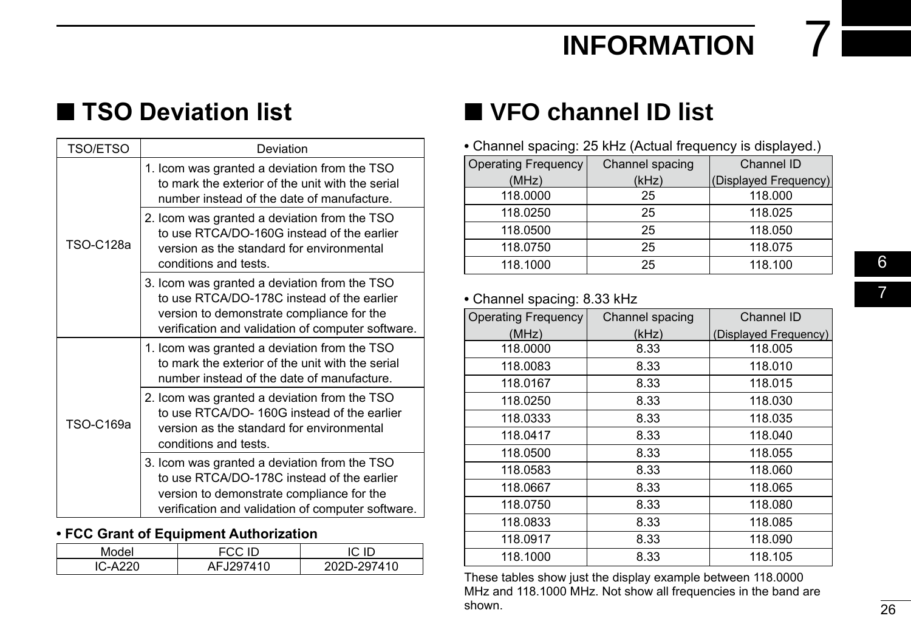### **INFORMATION**

### <span id="page-32-0"></span>■ **TSO Deviation list**

| TSO/ETSO         | Deviation                                                                                                                                                                                    |
|------------------|----------------------------------------------------------------------------------------------------------------------------------------------------------------------------------------------|
| <b>TSO-C128a</b> | 1. Icom was granted a deviation from the TSO<br>to mark the exterior of the unit with the serial<br>number instead of the date of manufacture.                                               |
|                  | 2. Icom was granted a deviation from the TSO<br>to use RTCA/DO-160G instead of the earlier<br>version as the standard for environmental<br>conditions and tests.                             |
|                  | 3. Icom was granted a deviation from the TSO<br>to use RTCA/DO-178C instead of the earlier<br>version to demonstrate compliance for the<br>verification and validation of computer software. |
| TSO-C169a        | 1. Icom was granted a deviation from the TSO<br>to mark the exterior of the unit with the serial<br>number instead of the date of manufacture.                                               |
|                  | 2. Icom was granted a deviation from the TSO<br>to use RTCA/DO-160G instead of the earlier<br>version as the standard for environmental<br>conditions and tests.                             |
|                  | 3. Icom was granted a deviation from the TSO<br>to use RTCA/DO-178C instead of the earlier<br>version to demonstrate compliance for the<br>verification and validation of computer software. |

#### **• FCC Grant of Equipment Authorization**

| Model   | FCC ID    | ∩ ∩.      |
|---------|-----------|-----------|
| IC-A220 | AFJ297410 | 2D-297410 |

### ■ **VFO channel ID list**

**•** Channel spacing: 25 kHz (Actual frequency is displayed.)

| <b>Operating Frequency</b> | Channel spacing | Channel ID            |
|----------------------------|-----------------|-----------------------|
| (MHz)                      | (kHz)           | (Displayed Frequency) |
| 118.0000                   | 25              | 118,000               |
| 118.0250                   | 25              | 118.025               |
| 118.0500                   | 25              | 118.050               |
| 118.0750                   | 25              | 118.075               |
| 118.1000                   | 25              | 118.100               |

#### **•** Channel spacing: 8.33 kHz

| <b>Operating Frequency</b> | Channel spacing | Channel ID            |
|----------------------------|-----------------|-----------------------|
| (MHz)                      | (kHz)           | (Displayed Frequency) |
| 118.0000                   | 8.33            | 118.005               |
| 118.0083                   | 8.33            | 118.010               |
| 118.0167                   | 8.33            | 118.015               |
| 118.0250                   | 8.33            | 118.030               |
| 118.0333                   | 8.33            | 118.035               |
| 118.0417                   | 8.33            | 118.040               |
| 118.0500                   | 8.33            | 118.055               |
| 118.0583                   | 8.33            | 118.060               |
| 118.0667                   | 8.33            | 118.065               |
| 118.0750                   | 8.33            | 118.080               |
| 118.0833                   | 8.33            | 118.085               |
| 118.0917                   | 8.33            | 118.090               |
| 118.1000                   | 8.33            | 118.105               |

These tables show just the display example between 118.0000 MHz and 118.1000 MHz. Not show all frequencies in the band are shown.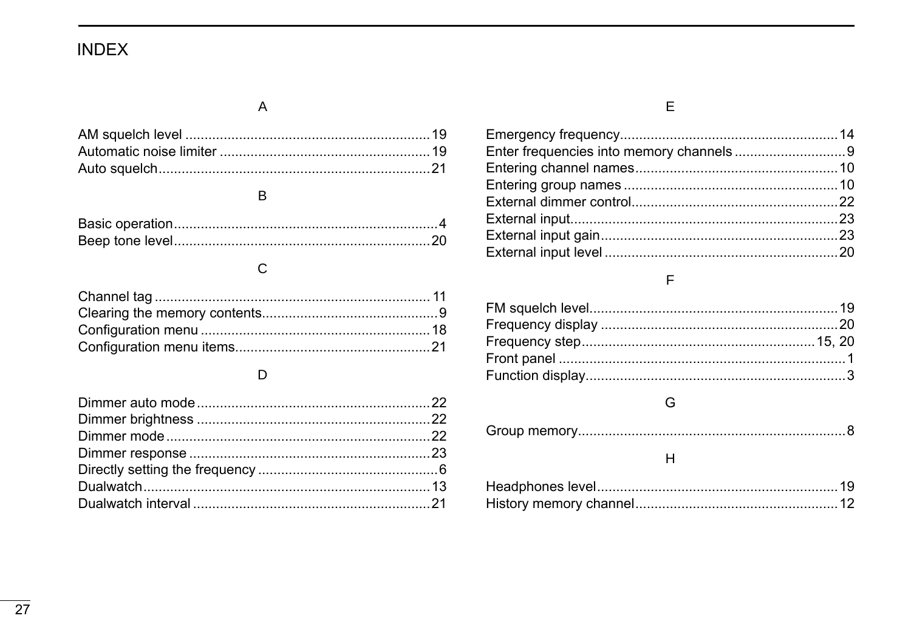### <span id="page-33-0"></span>**INDEX**

### $\overline{A}$

### $\, {\sf B}$

### $\mathsf C$

### $\mathsf D$

### $\bar{\mathsf E}$

#### $\overline{\mathsf{F}}$

### ${\mathsf G}$

|--|--|--|

### $\boldsymbol{\mathsf{H}}$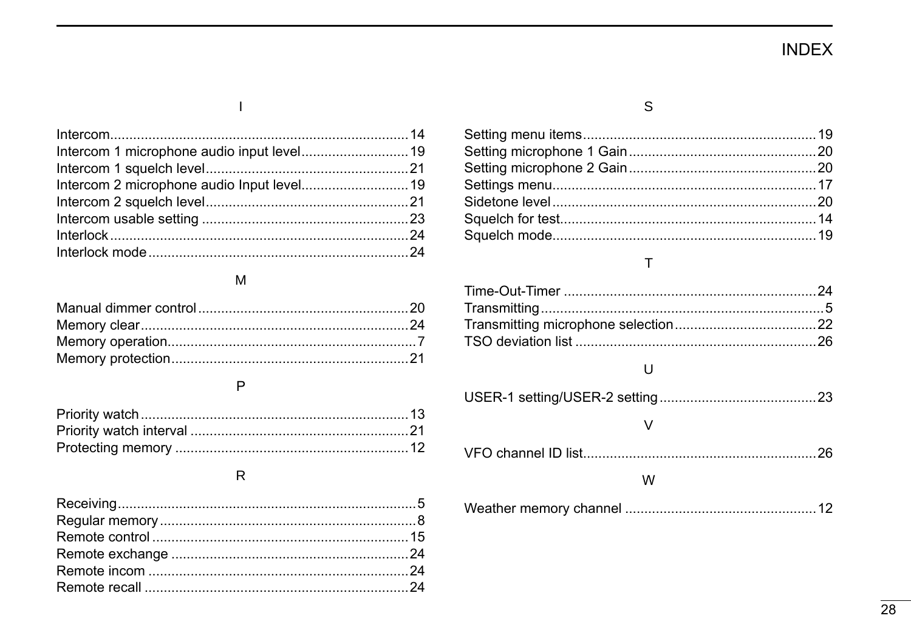### **INDEX**

| Intercom 1 microphone audio input level 19 |  |
|--------------------------------------------|--|
|                                            |  |
|                                            |  |
|                                            |  |
|                                            |  |
|                                            |  |
|                                            |  |

#### ${\sf M}$

#### $\mathsf{P}$

#### ${\sf R}$

#### $\mathbb S$

#### $\bar{T}$

#### $\sf U$

| w |  |
|---|--|
|   |  |